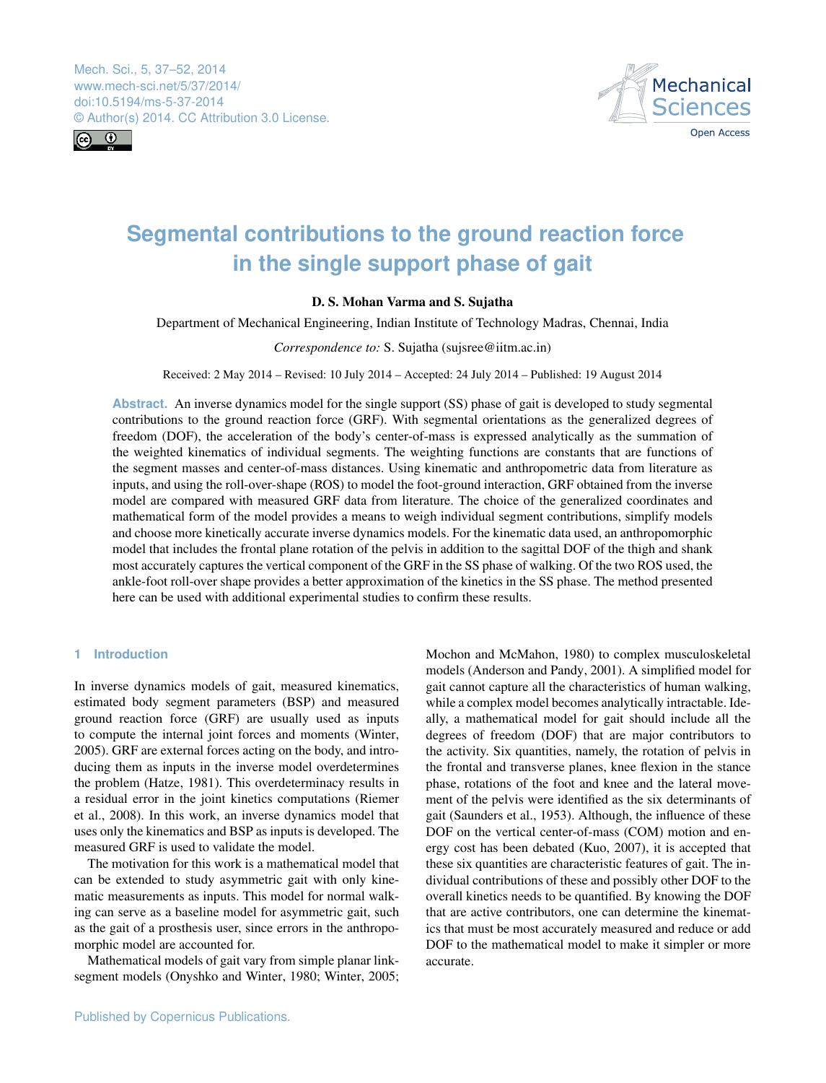Mech. Sci., 5, 37–52, 2014 www.mech-sci.net/5/37/2014/ doi:10.5194/ms-5-37-2014 © Author(s) 2014. CC Attribution 3.0 License.





# **Segmental contributions to the ground reaction force in the single support phase of gait**

## **D. S. Mohan Varma and S. Sujatha**

Department of Mechanical Engineering, Indian Institute of Technology Madras, Chennai, India

## *Correspondence to:* S. Sujatha (sujsree@iitm.ac.in)

Received: 2 May 2014 – Revised: 10 July 2014 – Accepted: 24 July 2014 – Published: 19 August 2014

**Abstract.** An inverse dynamics model for the single support (SS) phase of gait is developed to study segmental contributions to the ground reaction force (GRF). With segmental orientations as the generalized degrees of freedom (DOF), the acceleration of the body's center-of-mass is expressed analytically as the summation of the weighted kinematics of individual segments. The weighting functions are constants that are functions of the segment masses and center-of-mass distances. Using kinematic and anthropometric data from literature as inputs, and using the roll-over-shape (ROS) to model the foot-ground interaction, GRF obtained from the inverse model are compared with measured GRF data from literature. The choice of the generalized coordinates and mathematical form of the model provides a means to weigh individual segment contributions, simplify models and choose more kinetically accurate inverse dynamics models. For the kinematic data used, an anthropomorphic model that includes the frontal plane rotation of the pelvis in addition to the sagittal DOF of the thigh and shank most accurately captures the vertical component of the GRF in the SS phase of walking. Of the two ROS used, the ankle-foot roll-over shape provides a better approximation of the kinetics in the SS phase. The method presented here can be used with additional experimental studies to confirm these results.

## **1 Introduction**

In inverse dynamics models of gait, measured kinematics, estimated body segment parameters (BSP) and measured ground reaction force (GRF) are usually used as inputs to compute the internal joint forces and moments (Winter, 2005). GRF are external forces acting on the body, and introducing them as inputs in the inverse model overdetermines the problem (Hatze, 1981). This overdeterminacy results in a residual error in the joint kinetics computations (Riemer et al., 2008). In this work, an inverse dynamics model that uses only the kinematics and BSP as inputs is developed. The measured GRF is used to validate the model.

The motivation for this work is a mathematical model that can be extended to study asymmetric gait with only kinematic measurements as inputs. This model for normal walking can serve as a baseline model for asymmetric gait, such as the gait of a prosthesis user, since errors in the anthropomorphic model are accounted for.

Mathematical models of gait vary from simple planar linksegment models (Onyshko and Winter, 1980; Winter, 2005; Mochon and McMahon, 1980) to complex musculoskeletal models (Anderson and Pandy, 2001). A simplified model for gait cannot capture all the characteristics of human walking, while a complex model becomes analytically intractable. Ideally, a mathematical model for gait should include all the degrees of freedom (DOF) that are major contributors to the activity. Six quantities, namely, the rotation of pelvis in the frontal and transverse planes, knee flexion in the stance phase, rotations of the foot and knee and the lateral movement of the pelvis were identified as the six determinants of gait (Saunders et al., 1953). Although, the influence of these DOF on the vertical center-of-mass (COM) motion and energy cost has been debated (Kuo, 2007), it is accepted that these six quantities are characteristic features of gait. The individual contributions of these and possibly other DOF to the overall kinetics needs to be quantified. By knowing the DOF that are active contributors, one can determine the kinematics that must be most accurately measured and reduce or add DOF to the mathematical model to make it simpler or more accurate.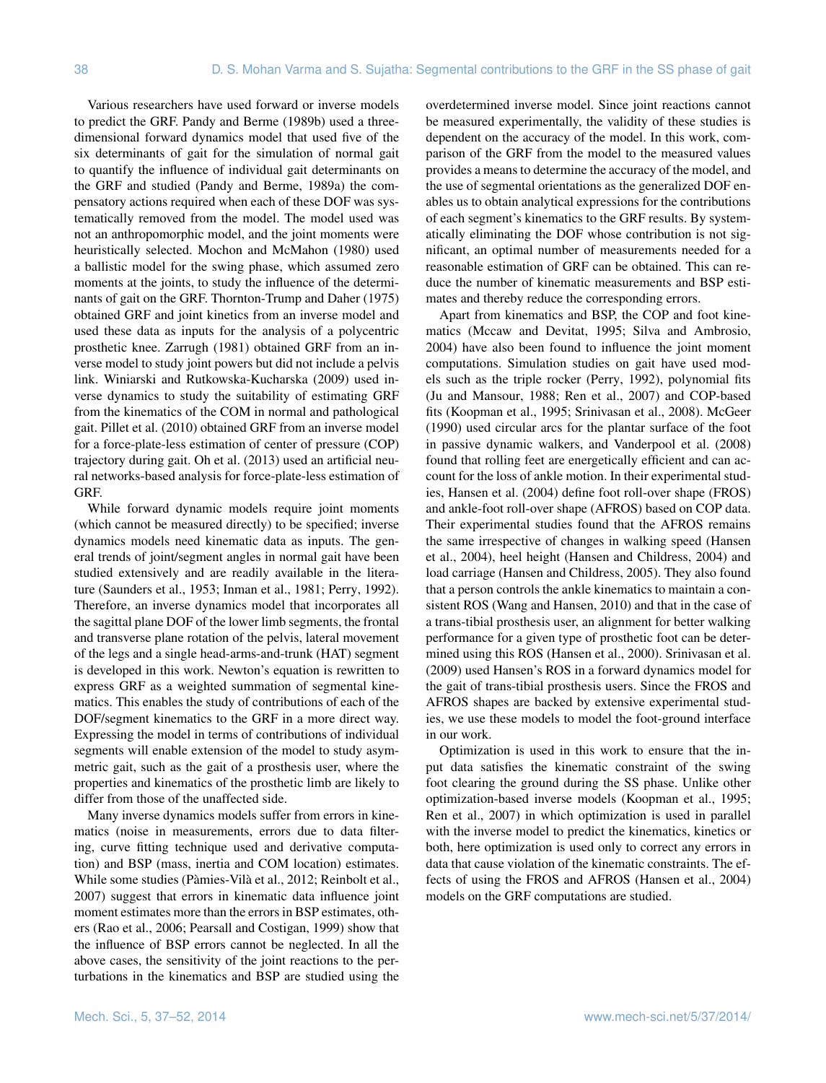Various researchers have used forward or inverse models to predict the GRF. Pandy and Berme (1989b) used a threedimensional forward dynamics model that used five of the six determinants of gait for the simulation of normal gait to quantify the influence of individual gait determinants on the GRF and studied (Pandy and Berme, 1989a) the compensatory actions required when each of these DOF was systematically removed from the model. The model used was not an anthropomorphic model, and the joint moments were heuristically selected. Mochon and McMahon (1980) used a ballistic model for the swing phase, which assumed zero moments at the joints, to study the influence of the determinants of gait on the GRF. Thornton-Trump and Daher (1975) obtained GRF and joint kinetics from an inverse model and used these data as inputs for the analysis of a polycentric prosthetic knee. Zarrugh (1981) obtained GRF from an inverse model to study joint powers but did not include a pelvis link. Winiarski and Rutkowska-Kucharska (2009) used inverse dynamics to study the suitability of estimating GRF from the kinematics of the COM in normal and pathological gait. Pillet et al. (2010) obtained GRF from an inverse model for a force-plate-less estimation of center of pressure (COP) trajectory during gait. Oh et al. (2013) used an artificial neural networks-based analysis for force-plate-less estimation of GRF.

While forward dynamic models require joint moments (which cannot be measured directly) to be specified; inverse dynamics models need kinematic data as inputs. The general trends of joint/segment angles in normal gait have been studied extensively and are readily available in the literature (Saunders et al., 1953; Inman et al., 1981; Perry, 1992). Therefore, an inverse dynamics model that incorporates all the sagittal plane DOF of the lower limb segments, the frontal and transverse plane rotation of the pelvis, lateral movement of the legs and a single head-arms-and-trunk (HAT) segment is developed in this work. Newton's equation is rewritten to express GRF as a weighted summation of segmental kinematics. This enables the study of contributions of each of the DOF/segment kinematics to the GRF in a more direct way. Expressing the model in terms of contributions of individual segments will enable extension of the model to study asymmetric gait, such as the gait of a prosthesis user, where the properties and kinematics of the prosthetic limb are likely to differ from those of the unaffected side.

Many inverse dynamics models suffer from errors in kinematics (noise in measurements, errors due to data filtering, curve fitting technique used and derivative computation) and BSP (mass, inertia and COM location) estimates. While some studies (Pàmies-Vilà et al., 2012; Reinbolt et al., 2007) suggest that errors in kinematic data influence joint moment estimates more than the errors in BSP estimates, others (Rao et al., 2006; Pearsall and Costigan, 1999) show that the influence of BSP errors cannot be neglected. In all the above cases, the sensitivity of the joint reactions to the perturbations in the kinematics and BSP are studied using the overdetermined inverse model. Since joint reactions cannot be measured experimentally, the validity of these studies is dependent on the accuracy of the model. In this work, comparison of the GRF from the model to the measured values provides a means to determine the accuracy of the model, and the use of segmental orientations as the generalized DOF enables us to obtain analytical expressions for the contributions of each segment's kinematics to the GRF results. By systematically eliminating the DOF whose contribution is not significant, an optimal number of measurements needed for a reasonable estimation of GRF can be obtained. This can reduce the number of kinematic measurements and BSP estimates and thereby reduce the corresponding errors.

Apart from kinematics and BSP, the COP and foot kinematics (Mccaw and Devitat, 1995; Silva and Ambrosio, 2004) have also been found to influence the joint moment computations. Simulation studies on gait have used models such as the triple rocker (Perry, 1992), polynomial fits (Ju and Mansour, 1988; Ren et al., 2007) and COP-based fits (Koopman et al., 1995; Srinivasan et al., 2008). McGeer (1990) used circular arcs for the plantar surface of the foot in passive dynamic walkers, and Vanderpool et al. (2008) found that rolling feet are energetically efficient and can account for the loss of ankle motion. In their experimental studies, Hansen et al. (2004) define foot roll-over shape (FROS) and ankle-foot roll-over shape (AFROS) based on COP data. Their experimental studies found that the AFROS remains the same irrespective of changes in walking speed (Hansen et al., 2004), heel height (Hansen and Childress, 2004) and load carriage (Hansen and Childress, 2005). They also found that a person controls the ankle kinematics to maintain a consistent ROS (Wang and Hansen, 2010) and that in the case of a trans-tibial prosthesis user, an alignment for better walking performance for a given type of prosthetic foot can be determined using this ROS (Hansen et al., 2000). Srinivasan et al. (2009) used Hansen's ROS in a forward dynamics model for the gait of trans-tibial prosthesis users. Since the FROS and AFROS shapes are backed by extensive experimental studies, we use these models to model the foot-ground interface in our work.

Optimization is used in this work to ensure that the input data satisfies the kinematic constraint of the swing foot clearing the ground during the SS phase. Unlike other optimization-based inverse models (Koopman et al., 1995; Ren et al., 2007) in which optimization is used in parallel with the inverse model to predict the kinematics, kinetics or both, here optimization is used only to correct any errors in data that cause violation of the kinematic constraints. The effects of using the FROS and AFROS (Hansen et al., 2004) models on the GRF computations are studied.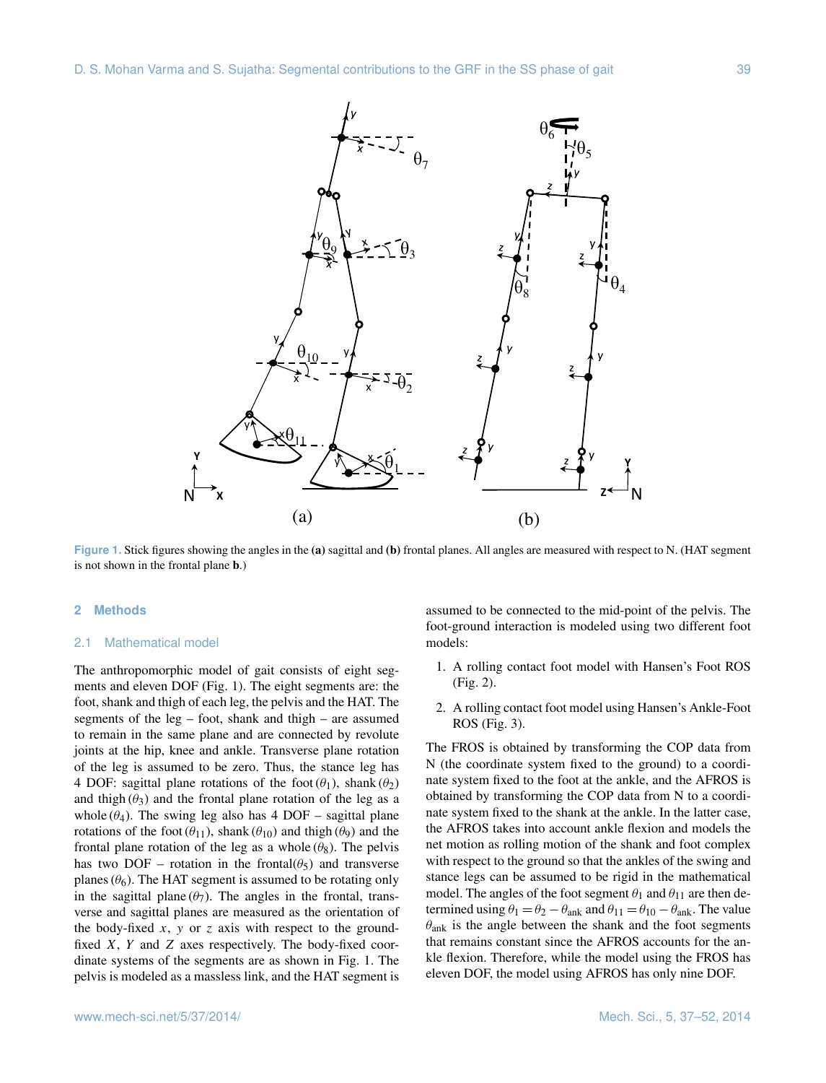

**Figure 1.** Stick figures showing the angles in the **(a)** sagittal and **(b)** frontal planes. All angles are measured with respect to N. (HAT segment is not shown in the frontal plane **b**.)

## **2 Methods**

#### 2.1 Mathematical model

The anthropomorphic model of gait consists of eight segments and eleven DOF (Fig. 1). The eight segments are: the foot, shank and thigh of each leg, the pelvis and the HAT. The segments of the leg – foot, shank and thigh – are assumed to remain in the same plane and are connected by revolute joints at the hip, knee and ankle. Transverse plane rotation of the leg is assumed to be zero. Thus, the stance leg has 4 DOF: sagittal plane rotations of the foot  $(\theta_1)$ , shank  $(\theta_2)$ and thigh  $(\theta_3)$  and the frontal plane rotation of the leg as a whole  $(\theta_4)$ . The swing leg also has 4 DOF – sagittal plane rotations of the foot  $(\theta_{11})$ , shank  $(\theta_{10})$  and the the the the state shall shall shall shall shall shall shall shall shall shall shall shall shall shall shall shall shall shall shall shall shall shall shall shall shal frontal plane rotation of the leg as a whole  $(\theta_8)$ . The pelvis has two DOF – rotation in the frontal $(\theta_5)$  and transverse planes  $(\theta_6)$ . The HAT segment is assumed to be rotating only in the sagittal plane  $(\theta_7)$ . The angles in the frontal, transverse and sagittal planes are measured as the orientation of the body-fixed  $x$ ,  $y$  or  $z$  axis with respect to the groundfixed  $X$ ,  $Y$  and  $Z$  axes respectively. The body-fixed coordinate systems of the segments are as shown in Fig. 1. The pelvis is modeled as a massless link, and the HAT segment is assumed to be connected to the mid-point of the pelvis. The foot-ground interaction is modeled using two different foot models:

- 1. A rolling contact foot model with Hansen's Foot ROS (Fig. 2).
- 2. A rolling contact foot model using Hansen's Ankle-Foot ROS (Fig. 3).

The FROS is obtained by transforming the COP data from N (the coordinate system fixed to the ground) to a coordinate system fixed to the foot at the ankle, and the AFROS is obtained by transforming the COP data from N to a coordinate system fixed to the shank at the ankle. In the latter case, the AFROS takes into account ankle flexion and models the net motion as rolling motion of the shank and foot complex with respect to the ground so that the ankles of the swing and stance legs can be assumed to be rigid in the mathematical model. The angles of the foot segment  $\theta_1$  and  $\theta_{11}$  are then determined using  $\theta_1 = \theta_2 - \theta_{ank}$  and  $\theta_{11} = \theta_{10} - \theta_{ank}$ . The value  $\theta_{\rm ank}$  is the angle between the shank and the foot segments that remains constant since the AFROS accounts for the ankle flexion. Therefore, while the model using the FROS has eleven DOF, the model using AFROS has only nine DOF.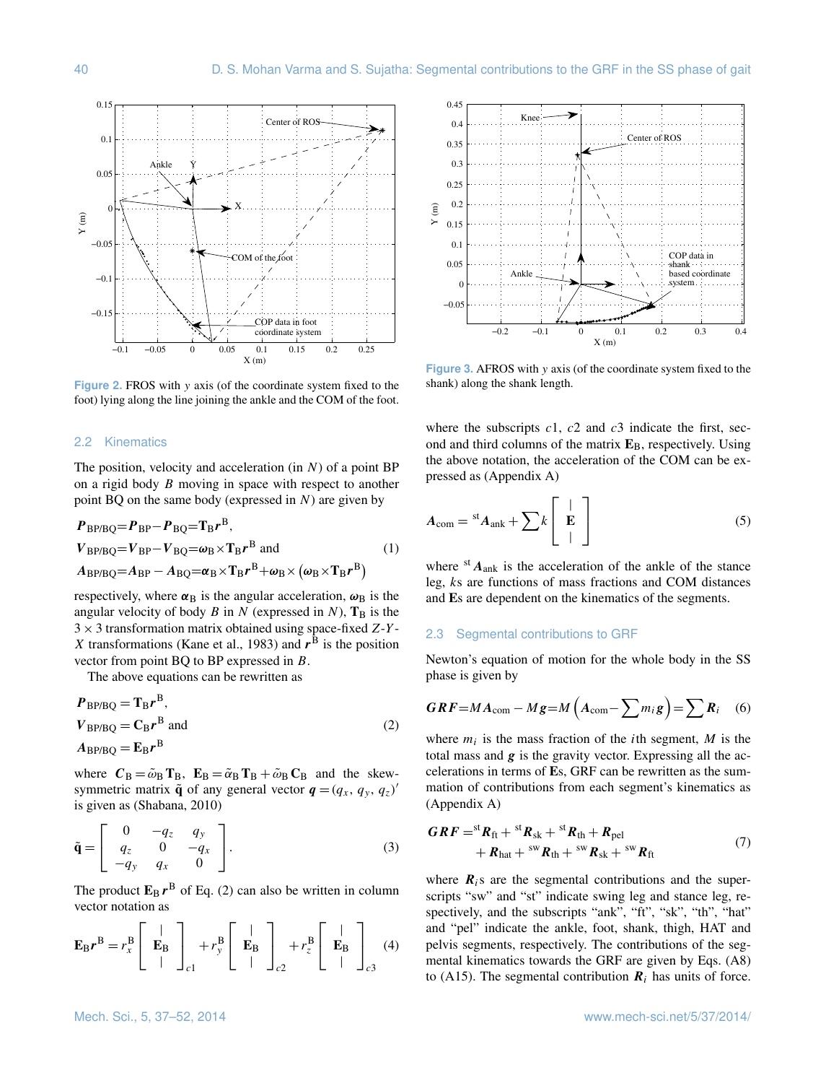

**Figure 2.** FROS with y axis (of the coordinate system fixed to the foot) lying along the line joining the ankle and the COM of the foot.

#### 2.2 Kinematics

The position, velocity and acceleration (in  $N$ ) of a point BP on a rigid body B moving in space with respect to another point BQ on the same body (expressed in  $N$ ) are given by

$$
P_{\text{BP/BQ}} = P_{\text{BP}} - P_{\text{BQ}} = T_{\text{B}} r^{\text{B}},
$$
  
\n
$$
V_{\text{BP/BQ}} = V_{\text{BP}} - V_{\text{BQ}} = \omega_{\text{B}} \times T_{\text{B}} r^{\text{B}} \text{ and}
$$
  
\n
$$
A_{\text{BP/BQ}} = A_{\text{BP}} - A_{\text{BQ}} = \alpha_{\text{B}} \times T_{\text{B}} r^{\text{B}} + \omega_{\text{B}} \times (\omega_{\text{B}} \times T_{\text{B}} r^{\text{B}})
$$
\n(1)

respectively, where  $\alpha_B$  is the angular acceleration,  $\omega_B$  is the angular velocity of body  $B$  in  $N$  (expressed in  $N$ ),  $T_B$  is the  $3 \times 3$  transformation matrix obtained using space-fixed Z-Y-X transformations (Kane et al., 1983) and  $r^B$  is the position vector from point BQ to BP expressed in B.

The above equations can be rewritten as

$$
P_{\rm BP/BQ} = T_{\rm B}r^{\rm B},
$$
  
\n
$$
V_{\rm BP/BQ} = C_{\rm B}r^{\rm B} \text{ and}
$$
  
\n
$$
A_{\rm BP/BQ} = E_{\rm B}r^{\rm B}
$$
 (2)

where  $C_B = \tilde{\omega}_B T_B$ ,  $E_B = \tilde{\alpha}_B T_B + \tilde{\omega}_B C_B$  and the skewsymmetric matrix  $\tilde{\mathbf{q}}$  of any general vector  $\mathbf{q} = (q_x, q_y, q_z)'$ is given as (Shabana, 2010)

$$
\tilde{\mathbf{q}} = \begin{bmatrix} 0 & -q_z & q_y \\ q_z & 0 & -q_x \\ -q_y & q_x & 0 \end{bmatrix} . \tag{3}
$$

The product  $\mathbf{E}_{\text{B}} r^{\text{B}}$  of Eq. (2) can also be written in column vector notation as

$$
\mathbf{E}_{\mathbf{B}}r^{\mathbf{B}} = r_x^{\mathbf{B}} \left[ \begin{array}{c} | \\ \mathbf{E}_{\mathbf{B}} \\ | \end{array} \right]_{c1} + r_y^{\mathbf{B}} \left[ \begin{array}{c} | \\ \mathbf{E}_{\mathbf{B}} \\ | \end{array} \right]_{c2} + r_z^{\mathbf{B}} \left[ \begin{array}{c} | \\ \mathbf{E}_{\mathbf{B}} \\ | \end{array} \right]_{c3} \tag{4}
$$



**Figure 3.** AFROS with y axis (of the coordinate system fixed to the shank) along the shank length.

where the subscripts  $c1$ ,  $c2$  and  $c3$  indicate the first, second and third columns of the matrix **E**B, respectively. Using the above notation, the acceleration of the COM can be expressed as (Appendix A)

$$
A_{\text{com}} = {}^{\text{st}} A_{\text{ank}} + \sum k \left[ \begin{array}{c} | \\ \mathbf{E} \\ | \end{array} \right] \tag{5}
$$

where  $s$ <sup>t</sup>  $A$ <sub>ank</sub> is the acceleration of the ankle of the stance leg, ks are functions of mass fractions and COM distances and **E**s are dependent on the kinematics of the segments.

## 2.3 Segmental contributions to GRF

Newton's equation of motion for the whole body in the SS phase is given by

$$
GRF = MA_{\text{com}} - Mg = M\left(A_{\text{com}} - \sum m_i g\right) = \sum R_i \quad (6)
$$

where  $m_i$  is the mass fraction of the *i*th segment, *M* is the total mass and  $g$  is the gravity vector. Expressing all the accelerations in terms of **E**s, GRF can be rewritten as the summation of contributions from each segment's kinematics as (Appendix A)

$$
GRF = {}^{st}R_{ft} + {}^{st}R_{sk} + {}^{st}R_{th} + R_{pel}
$$
  
+  $R_{hat} + {}^{sw}R_{th} + {}^{sw}R_{sk} + {}^{sw}R_{ft}$  (7)

where  $\mathbf{R}_i$  are the segmental contributions and the superscripts "sw" and "st" indicate swing leg and stance leg, respectively, and the subscripts "ank", "ft", "sk", "th", "hat" and "pel" indicate the ankle, foot, shank, thigh, HAT and pelvis segments, respectively. The contributions of the segmental kinematics towards the GRF are given by Eqs. (A8) to (A15). The segmental contribution  $\mathbf{R}_i$  has units of force.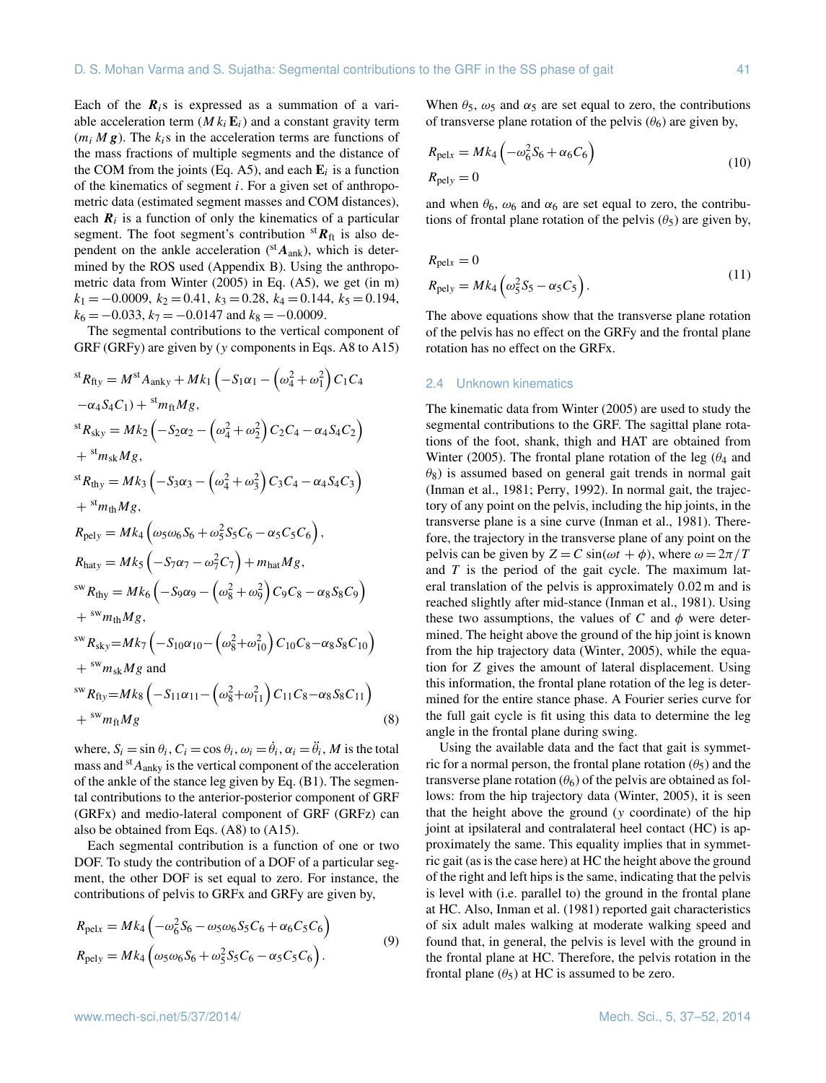Each of the  $R_i$ s is expressed as a summation of a variable acceleration term  $(M k_i E_i)$  and a constant gravity term  $(m_i M g)$ . The  $k_i s$  in the acceleration terms are functions of the mass fractions of multiple segments and the distance of the COM from the joints (Eq. A5), and each  $\mathbf{E}_i$  is a function of the kinematics of segment i. For a given set of anthropometric data (estimated segment masses and COM distances), each  $\mathbf{R}_i$  is a function of only the kinematics of a particular segment. The foot segment's contribution  ${}^{st}R_{ft}$  is also dependent on the ankle acceleration ( ${}^{st}A_{ank}$ ), which is determined by the ROS used (Appendix B). Using the anthropometric data from Winter (2005) in Eq. (A5), we get (in m)  $k_1 = -0.0009, k_2 = 0.41, k_3 = 0.28, k_4 = 0.144, k_5 = 0.194,$  $k_6 = -0.033$ ,  $k_7 = -0.0147$  and  $k_8 = -0.0009$ .

The segmental contributions to the vertical component of GRF (GRFy) are given by (y components in Eqs. A8 to A15)

$$
{}^{st}R_{fly} = M^{st}A_{anky} + Mk_1 (-S_1\alpha_1 - (\omega_4^2 + \omega_1^2) C_1C_4 \n- \alpha_4 S_4 C_1) + {}^{st}m_{ft}Mg, \n{}^{st}R_{sky} = Mk_2 (-S_2\alpha_2 - (\omega_4^2 + \omega_2^2) C_2C_4 - \alpha_4 S_4C_2) \n+ {}^{st}m_{sk}Mg, \n{}^{st}R_{thy} = Mk_3 (-S_3\alpha_3 - (\omega_4^2 + \omega_3^2) C_3C_4 - \alpha_4 S_4C_3) \n+ {}^{st}m_{th}Mg, \nR_{pely} = Mk_4 (\omega_5\omega_6 S_6 + \omega_5^2 S_5C_6 - \alpha_5 C_5C_6), \nR_{haty} = Mk_5 (-S_7\alpha_7 - \omega_7^2C_7) + m_{hat}Mg, \n{}^{sw}R_{thy} = Mk_6 (-S_9\alpha_9 - (\omega_8^2 + \omega_9^2) C_9C_8 - \alpha_8 S_8C_9) \n+ {}^{sw}m_{th}Mg, \n{}^{sw}R_{sky} = Mk_7 (-S_{10}\alpha_{10} - (\omega_8^2 + \omega_{10}^2) C_{10}C_8 - \alpha_8 S_8C_{10}) \n+ {}^{sw}m_{sk}Mg and \n{}^{sw}R_{thy} = Mk_8 (-S_{11}\alpha_{11} - (\omega_8^2 + \omega_{11}^2) C_{11}C_8 - \alpha_8 S_8C_{11}) \n+ {}^{sw}m_{ft}Mg
$$
\n(8)

where,  $S_i = \sin \theta_i$ ,  $C_i = \cos \theta_i$ ,  $\omega_i = \dot{\theta}_i$ ,  $\alpha_i = \ddot{\theta}_i$ , *M* is the total mass and  $A_{\text{anky}}$  is the vertical component of the acceleration of the ankle of the stance leg given by Eq. (B1). The segmental contributions to the anterior-posterior component of GRF (GRFx) and medio-lateral component of GRF (GRFz) can also be obtained from Eqs. (A8) to (A15).

Each segmental contribution is a function of one or two DOF. To study the contribution of a DOF of a particular segment, the other DOF is set equal to zero. For instance, the contributions of pelvis to GRFx and GRFy are given by,

$$
R_{\text{pelx}} = Mk_4 \left( -\omega_6^2 S_6 - \omega_5 \omega_6 S_5 C_6 + \alpha_6 C_5 C_6 \right)
$$
  
\n
$$
R_{\text{pely}} = Mk_4 \left( \omega_5 \omega_6 S_6 + \omega_5^2 S_5 C_6 - \alpha_5 C_5 C_6 \right).
$$
\n(9)

When  $\theta_5$ ,  $\omega_5$  and  $\alpha_5$  are set equal to zero, the contributions of transverse plane rotation of the pelvis  $(\theta_6)$  are given by,

$$
R_{\text{pelx}} = Mk_4 \left( -\omega_6^2 S_6 + \alpha_6 C_6 \right)
$$
  
\n
$$
R_{\text{pely}} = 0
$$
\n(10)

and when  $\theta_6$ ,  $\omega_6$  and  $\alpha_6$  are set equal to zero, the contributions of frontal plane rotation of the pelvis  $(\theta_5)$  are given by,

$$
R_{\text{pelx}} = 0
$$
  
\n
$$
R_{\text{pely}} = Mk_4 \left( \omega_5^2 S_5 - \alpha_5 C_5 \right).
$$
\n(11)

The above equations show that the transverse plane rotation of the pelvis has no effect on the GRFy and the frontal plane rotation has no effect on the GRFx.

#### 2.4 Unknown kinematics

The kinematic data from Winter (2005) are used to study the segmental contributions to the GRF. The sagittal plane rotations of the foot, shank, thigh and HAT are obtained from Winter (2005). The frontal plane rotation of the leg ( $\theta_4$  and  $\theta_8$ ) is assumed based on general gait trends in normal gait (Inman et al., 1981; Perry, 1992). In normal gait, the trajectory of any point on the pelvis, including the hip joints, in the transverse plane is a sine curve (Inman et al., 1981). Therefore, the trajectory in the transverse plane of any point on the pelvis can be given by  $Z = C \sin(\omega t + \phi)$ , where  $\omega = 2\pi/T$ and  $T$  is the period of the gait cycle. The maximum lateral translation of the pelvis is approximately 0.02 m and is reached slightly after mid-stance (Inman et al., 1981). Using these two assumptions, the values of C and  $\phi$  were determined. The height above the ground of the hip joint is known from the hip trajectory data (Winter, 2005), while the equation for Z gives the amount of lateral displacement. Using this information, the frontal plane rotation of the leg is determined for the entire stance phase. A Fourier series curve for the full gait cycle is fit using this data to determine the leg angle in the frontal plane during swing.

Using the available data and the fact that gait is symmetric for a normal person, the frontal plane rotation  $(\theta_5)$  and the transverse plane rotation  $(\theta_6)$  of the pelvis are obtained as follows: from the hip trajectory data (Winter, 2005), it is seen that the height above the ground (y coordinate) of the hip joint at ipsilateral and contralateral heel contact (HC) is approximately the same. This equality implies that in symmetric gait (as is the case here) at HC the height above the ground of the right and left hips is the same, indicating that the pelvis is level with (i.e. parallel to) the ground in the frontal plane at HC. Also, Inman et al. (1981) reported gait characteristics of six adult males walking at moderate walking speed and found that, in general, the pelvis is level with the ground in the frontal plane at HC. Therefore, the pelvis rotation in the frontal plane  $(\theta_5)$  at HC is assumed to be zero.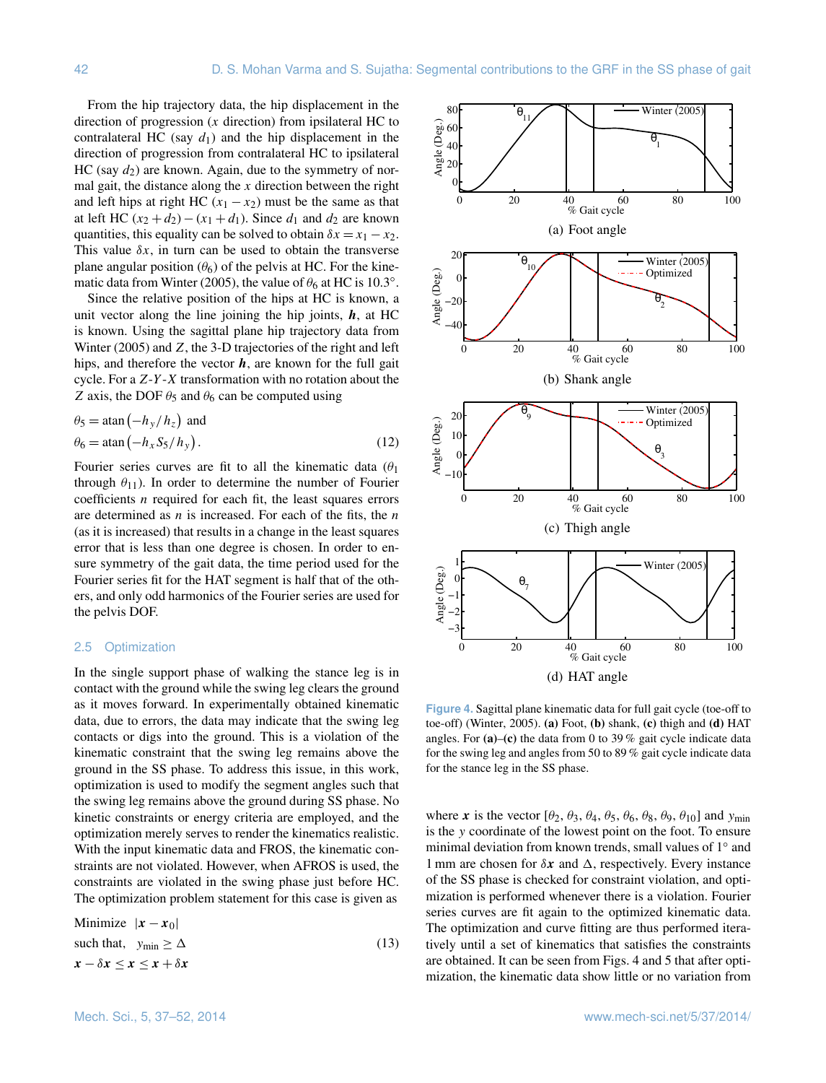From the hip trajectory data, the hip displacement in the direction of progression  $(x$  direction) from ipsilateral HC to contralateral HC (say  $d_1$ ) and the hip displacement in the direction of progression from contralateral HC to ipsilateral HC (say  $d_2$ ) are known. Again, due to the symmetry of normal gait, the distance along the  $x$  direction between the right and left hips at right HC  $(x_1 - x_2)$  must be the same as that at left HC  $(x_2 + d_2) - (x_1 + d_1)$ . Since  $d_1$  and  $d_2$  are known quantities, this equality can be solved to obtain  $\delta x = x_1 - x_2$ . This value  $\delta x$ , in turn can be used to obtain the transverse plane angular position  $(\theta_6)$  of the pelvis at HC. For the kinematic data from Winter (2005), the value of  $\theta_6$  at HC is 10.3°.

Since the relative position of the hips at HC is known, a unit vector along the line joining the hip joints,  $h$ , at HC is known. Using the sagittal plane hip trajectory data from Winter (2005) and Z, the 3-D trajectories of the right and left hips, and therefore the vector  $h$ , are known for the full gait cycle. For a  $Z-Y-X$  transformation with no rotation about the Z axis, the DOF  $\theta_5$  and  $\theta_6$  can be computed using

$$
\theta_5 = \operatorname{atan}(-h_y/h_z) \text{ and}
$$
  
\n
$$
\theta_6 = \operatorname{atan}(-h_x S_5/h_y).
$$
 (12)

Fourier series curves are fit to all the kinematic data  $(\theta_1)$ through  $\theta_{11}$ ). In order to determine the number of Fourier coefficients  $n$  required for each fit, the least squares errors are determined as  $n$  is increased. For each of the fits, the  $n$ (as it is increased) that results in a change in the least squares error that is less than one degree is chosen. In order to ensure symmetry of the gait data, the time period used for the Fourier series fit for the HAT segment is half that of the others, and only odd harmonics of the Fourier series are used for the pelvis DOF.

## 2.5 Optimization

In the single support phase of walking the stance leg is in contact with the ground while the swing leg clears the ground as it moves forward. In experimentally obtained kinematic data, due to errors, the data may indicate that the swing leg contacts or digs into the ground. This is a violation of the kinematic constraint that the swing leg remains above the ground in the SS phase. To address this issue, in this work, optimization is used to modify the segment angles such that the swing leg remains above the ground during SS phase. No kinetic constraints or energy criteria are employed, and the optimization merely serves to render the kinematics realistic. With the input kinematic data and FROS, the kinematic constraints are not violated. However, when AFROS is used, the constraints are violated in the swing phase just before HC. The optimization problem statement for this case is given as

Minimize  $|x - x_0|$ such that,  $y_{\text{min}} \ge \Delta$  (13)  $x - \delta x \leq x \leq x + \delta x$ 



**Figure 4.** Sagittal plane kinematic data for full gait cycle (toe-off to toe-off) (Winter, 2005). **(a)** Foot, **(b)** shank, **(c)** thigh and **(d)** HAT angles. For **(a)**–**(c)** the data from 0 to 39 % gait cycle indicate data for the swing leg and angles from 50 to 89 % gait cycle indicate data for the stance leg in the SS phase.

where x is the vector  $[\theta_2, \theta_3, \theta_4, \theta_5, \theta_6, \theta_8, \theta_9, \theta_{10}]$  and  $y_{\text{min}}$ is the y coordinate of the lowest point on the foot. To ensure minimal deviation from known trends, small values of 1° and 1 mm are chosen for  $\delta x$  and  $\Delta$ , respectively. Every instance of the SS phase is checked for constraint violation, and optimization is performed whenever there is a violation. Fourier series curves are fit again to the optimized kinematic data. The optimization and curve fitting are thus performed iteratively until a set of kinematics that satisfies the constraints are obtained. It can be seen from Figs. 4 and 5 that after optimization, the kinematic data show little or no variation from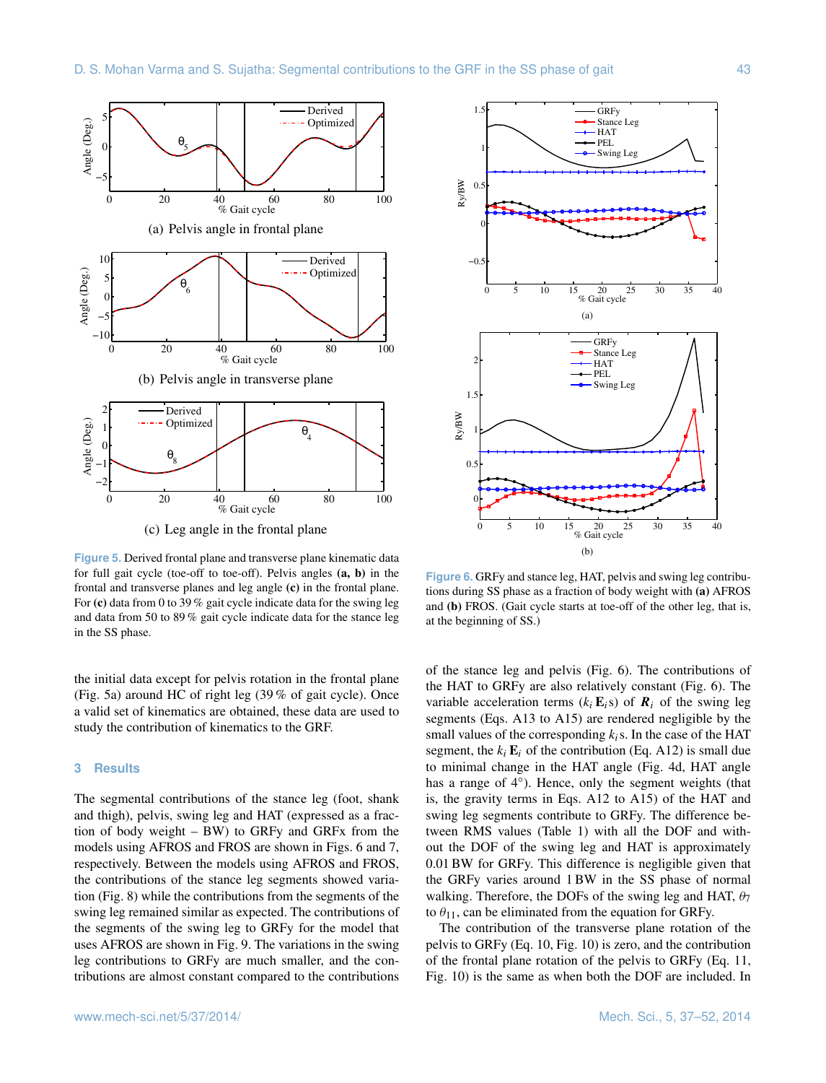

(c) Leg angle in the frontal plane

**Figure 5.** Derived frontal plane and transverse plane kinematic data for full gait cycle (toe-off to toe-off). Pelvis angles **(a, b)** in the frontal and transverse planes and leg angle **(c)** in the frontal plane. For **(c)** data from 0 to 39 % gait cycle indicate data for the swing leg and data from 50 to 89 % gait cycle indicate data for the stance leg in the SS phase.

the initial data except for pelvis rotation in the frontal plane (Fig. 5a) around HC of right leg (39 % of gait cycle). Once a valid set of kinematics are obtained, these data are used to study the contribution of kinematics to the GRF.

## **3 Results**

The segmental contributions of the stance leg (foot, shank and thigh), pelvis, swing leg and HAT (expressed as a fraction of body weight – BW) to GRFy and GRFx from the models using AFROS and FROS are shown in Figs. 6 and 7, respectively. Between the models using AFROS and FROS, the contributions of the stance leg segments showed variation (Fig. 8) while the contributions from the segments of the swing leg remained similar as expected. The contributions of the segments of the swing leg to GRFy for the model that uses AFROS are shown in Fig. 9. The variations in the swing leg contributions to GRFy are much smaller, and the contributions are almost constant compared to the contributions



**Figure 6.** GRFy and stance leg, HAT, pelvis and swing leg contributions during SS phase as a fraction of body weight with **(a)** AFROS and **(b)** FROS. (Gait cycle starts at toe-off of the other leg, that is, at the beginning of SS.)

of the stance leg and pelvis (Fig. 6). The contributions of the HAT to GRFy are also relatively constant (Fig. 6). The variable acceleration terms  $(k_i E_i s)$  of  $\mathbf{R}_i$  of the swing leg segments (Eqs. A13 to A15) are rendered negligible by the small values of the corresponding  $k_i$ s. In the case of the HAT segment, the  $k_i$   $E_i$  of the contribution (Eq. A12) is small due to minimal change in the HAT angle (Fig. 4d, HAT angle has a range of 4°). Hence, only the segment weights (that is, the gravity terms in Eqs. A12 to A15) of the HAT and swing leg segments contribute to GRFy. The difference between RMS values (Table 1) with all the DOF and without the DOF of the swing leg and HAT is approximately 0.01 BW for GRFy. This difference is negligible given that the GRFy varies around 1 BW in the SS phase of normal walking. Therefore, the DOFs of the swing leg and HAT,  $\theta_7$ to  $\theta_{11}$ , can be eliminated from the equation for GRFy.

The contribution of the transverse plane rotation of the pelvis to GRFy (Eq. 10, Fig. 10) is zero, and the contribution of the frontal plane rotation of the pelvis to GRFy (Eq. 11, Fig. 10) is the same as when both the DOF are included. In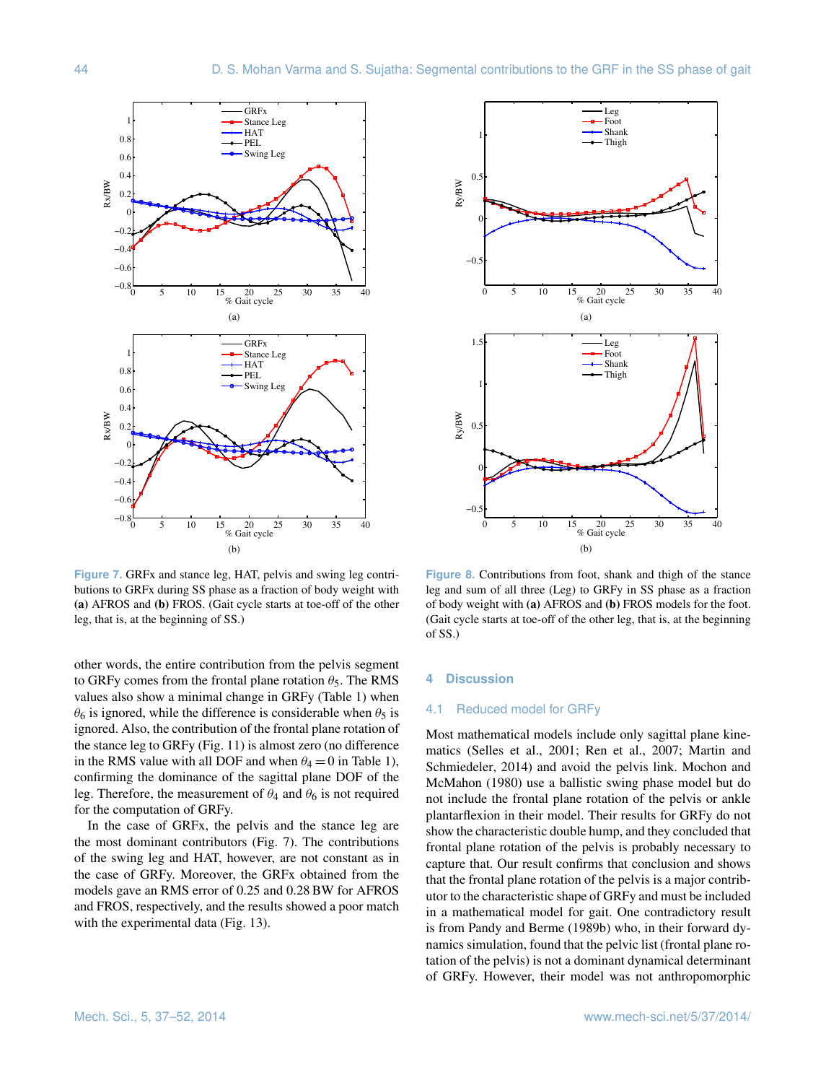

**Figure 7.** GRFx and stance leg, HAT, pelvis and swing leg contributions to GRFx during SS phase as a fraction of body weight with **(a)** AFROS and **(b)** FROS. (Gait cycle starts at toe-off of the other leg, that is, at the beginning of SS.)

other words, the entire contribution from the pelvis segment to GRFy comes from the frontal plane rotation  $\theta_5$ . The RMS values also show a minimal change in GRFy (Table 1) when  $\theta_6$  is ignored, while the difference is considerable when  $\theta_5$  is ignored. Also, the contribution of the frontal plane rotation of the stance leg to GRFy (Fig. 11) is almost zero (no difference in the RMS value with all DOF and when  $\theta_4 = 0$  in Table 1), confirming the dominance of the sagittal plane DOF of the leg. Therefore, the measurement of  $\theta_4$  and  $\theta_6$  is not required for the computation of GRFy.

In the case of GRFx, the pelvis and the stance leg are the most dominant contributors (Fig. 7). The contributions of the swing leg and HAT, however, are not constant as in the case of GRFy. Moreover, the GRFx obtained from the models gave an RMS error of 0.25 and 0.28 BW for AFROS and FROS, respectively, and the results showed a poor match with the experimental data (Fig. 13).



**Figure 8.** Contributions from foot, shank and thigh of the stance leg and sum of all three (Leg) to GRFy in SS phase as a fraction of body weight with **(a)** AFROS and **(b)** FROS models for the foot. (Gait cycle starts at toe-off of the other leg, that is, at the beginning of SS.)

## **4 Discussion**

## 4.1 Reduced model for GRFy

Most mathematical models include only sagittal plane kinematics (Selles et al., 2001; Ren et al., 2007; Martin and Schmiedeler, 2014) and avoid the pelvis link. Mochon and McMahon (1980) use a ballistic swing phase model but do not include the frontal plane rotation of the pelvis or ankle plantarflexion in their model. Their results for GRFy do not show the characteristic double hump, and they concluded that frontal plane rotation of the pelvis is probably necessary to capture that. Our result confirms that conclusion and shows that the frontal plane rotation of the pelvis is a major contributor to the characteristic shape of GRFy and must be included in a mathematical model for gait. One contradictory result is from Pandy and Berme (1989b) who, in their forward dynamics simulation, found that the pelvic list (frontal plane rotation of the pelvis) is not a dominant dynamical determinant of GRFy. However, their model was not anthropomorphic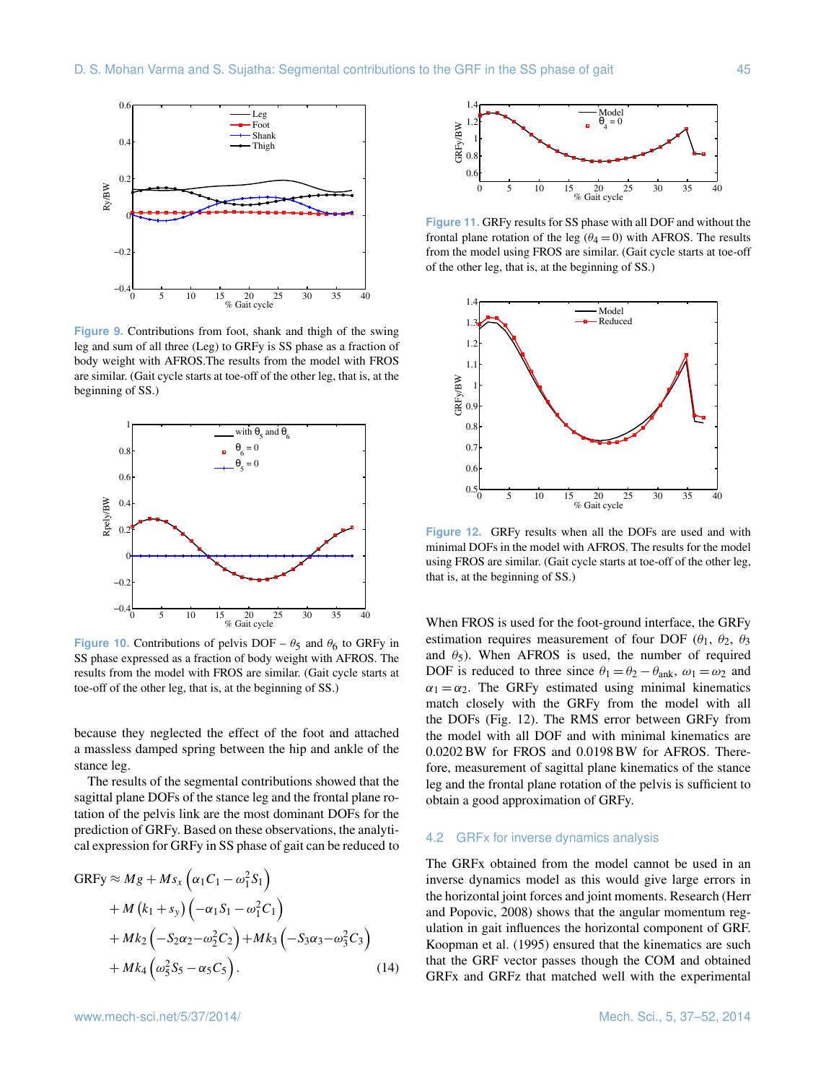

**Figure 9.** Contributions from foot, shank and thigh of the swing leg and sum of all three (Leg) to GRFy is SS phase as a fraction of body weight with AFROS.The results from the model with FROS are similar. (Gait cycle starts at toe-off of the other leg, that is, at the beginning of SS.)



**Figure 10.** Contributions of pelvis DOF –  $\theta_5$  and  $\theta_6$  to GRFy in SS phase expressed as a fraction of body weight with AFROS. The results from the model with FROS are similar. (Gait cycle starts at toe-off of the other leg, that is, at the beginning of SS.)

because they neglected the effect of the foot and attached a massless damped spring between the hip and ankle of the stance leg.

The results of the segmental contributions showed that the sagittal plane DOFs of the stance leg and the frontal plane rotation of the pelvis link are the most dominant DOFs for the prediction of GRFy. Based on these observations, the analytical expression for GRFy in SS phase of gait can be reduced to

$$
GRFy \approx Mg + Ms_x \left( \alpha_1 C_1 - \omega_1^2 S_1 \right)
$$
  
+  $M (k_1 + s_y) \left( -\alpha_1 S_1 - \omega_1^2 C_1 \right)$   
+  $Mk_2 \left( -S_2 \alpha_2 - \omega_2^2 C_2 \right) + Mk_3 \left( -S_3 \alpha_3 - \omega_3^2 C_3 \right)$   
+  $Mk_4 \left( \omega_5^2 S_5 - \alpha_5 C_5 \right)$ . (14)



**Figure 11.** GRFy results for SS phase with all DOF and without the frontal plane rotation of the leg ( $\theta_4 = 0$ ) with AFROS. The results from the model using FROS are similar. (Gait cycle starts at toe-off of the other leg, that is, at the beginning of SS.)



**Figure 12.** GRFy results when all the DOFs are used and with minimal DOFs in the model with AFROS. The results for the model using FROS are similar. (Gait cycle starts at toe-off of the other leg, that is, at the beginning of SS.)

When FROS is used for the foot-ground interface, the GRFy estimation requires measurement of four DOF ( $\theta_1$ ,  $\theta_2$ ,  $\theta_3$ ) and  $\theta_5$ ). When AFROS is used, the number of required DOF is reduced to three since  $\theta_1 = \theta_2 - \theta_{ank}$ ,  $\omega_1 = \omega_2$  and  $\alpha_1 = \alpha_2$ . The GRFy estimated using minimal kinematics match closely with the GRFy from the model with all the DOFs (Fig. 12). The RMS error between GRFy from the model with all DOF and with minimal kinematics are 0.0202 BW for FROS and 0.0198 BW for AFROS. Therefore, measurement of sagittal plane kinematics of the stance leg and the frontal plane rotation of the pelvis is sufficient to obtain a good approximation of GRFy.

## 4.2 GRFx for inverse dynamics analysis

The GRFx obtained from the model cannot be used in an inverse dynamics model as this would give large errors in the horizontal joint forces and joint moments. Research (Herr and Popovic, 2008) shows that the angular momentum regulation in gait influences the horizontal component of GRF. Koopman et al. (1995) ensured that the kinematics are such that the GRF vector passes though the COM and obtained GRFx and GRFz that matched well with the experimental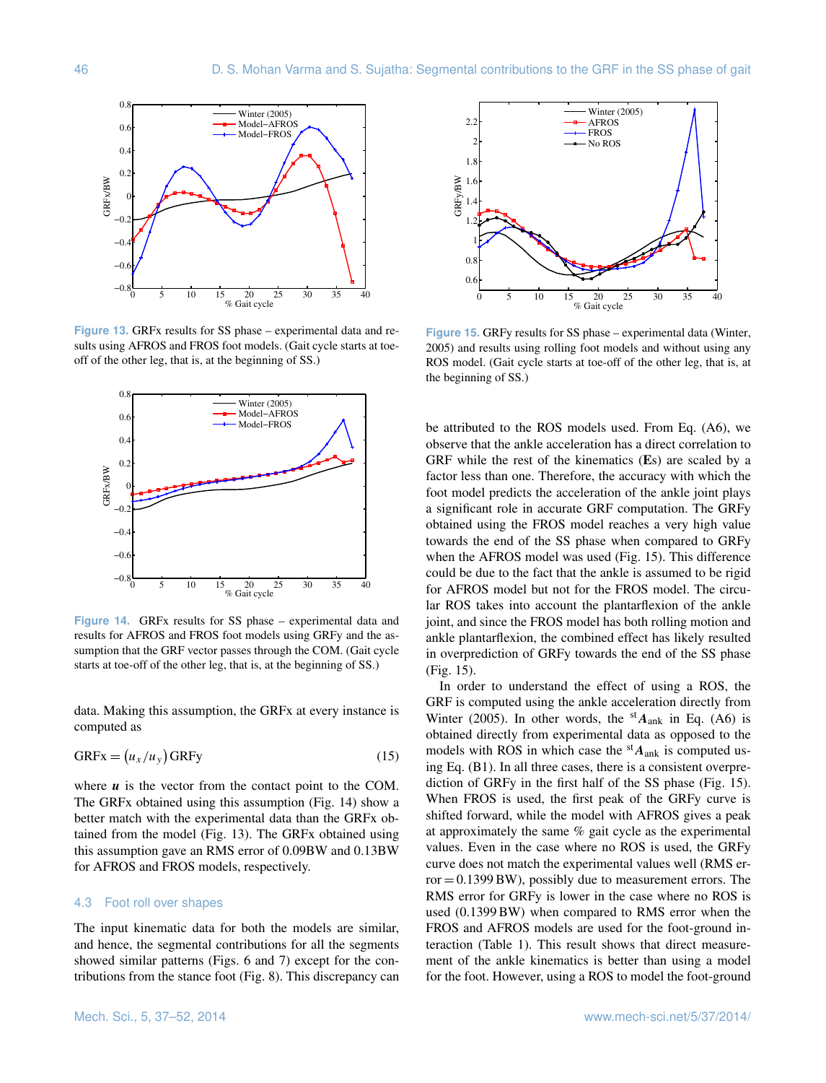

**Figure 13.** GRFx results for SS phase – experimental data and results using AFROS and FROS foot models. (Gait cycle starts at toeoff of the other leg, that is, at the beginning of SS.)



**Figure 14.** GRFx results for SS phase – experimental data and results for AFROS and FROS foot models using GRFy and the assumption that the GRF vector passes through the COM. (Gait cycle starts at toe-off of the other leg, that is, at the beginning of SS.)

data. Making this assumption, the GRFx at every instance is computed as

$$
GRFx = (u_x/u_y) GRFy \tag{15}
$$

where  $u$  is the vector from the contact point to the COM. The GRFx obtained using this assumption (Fig. 14) show a better match with the experimental data than the GRFx obtained from the model (Fig. 13). The GRFx obtained using this assumption gave an RMS error of 0.09BW and 0.13BW for AFROS and FROS models, respectively.

#### 4.3 Foot roll over shapes

The input kinematic data for both the models are similar, and hence, the segmental contributions for all the segments showed similar patterns (Figs. 6 and 7) except for the contributions from the stance foot (Fig. 8). This discrepancy can



**Figure 15.** GRFy results for SS phase – experimental data (Winter, 2005) and results using rolling foot models and without using any ROS model. (Gait cycle starts at toe-off of the other leg, that is, at the beginning of SS.)

be attributed to the ROS models used. From Eq. (A6), we observe that the ankle acceleration has a direct correlation to GRF while the rest of the kinematics (**E**s) are scaled by a factor less than one. Therefore, the accuracy with which the foot model predicts the acceleration of the ankle joint plays a significant role in accurate GRF computation. The GRFy obtained using the FROS model reaches a very high value towards the end of the SS phase when compared to GRFy when the AFROS model was used (Fig. 15). This difference could be due to the fact that the ankle is assumed to be rigid for AFROS model but not for the FROS model. The circular ROS takes into account the plantarflexion of the ankle joint, and since the FROS model has both rolling motion and ankle plantarflexion, the combined effect has likely resulted in overprediction of GRFy towards the end of the SS phase (Fig. 15).

In order to understand the effect of using a ROS, the GRF is computed using the ankle acceleration directly from Winter (2005). In other words, the  ${}^{st}A_{ank}$  in Eq. (A6) is obtained directly from experimental data as opposed to the models with ROS in which case the  ${}^{st}A_{ank}$  is computed using Eq. (B1). In all three cases, there is a consistent overprediction of GRFy in the first half of the SS phase (Fig. 15). When FROS is used, the first peak of the GRFy curve is shifted forward, while the model with AFROS gives a peak at approximately the same % gait cycle as the experimental values. Even in the case where no ROS is used, the GRFy curve does not match the experimental values well (RMS er $ror = 0.1399 \text{ BW}$ , possibly due to measurement errors. The RMS error for GRFy is lower in the case where no ROS is used (0.1399 BW) when compared to RMS error when the FROS and AFROS models are used for the foot-ground interaction (Table 1). This result shows that direct measurement of the ankle kinematics is better than using a model for the foot. However, using a ROS to model the foot-ground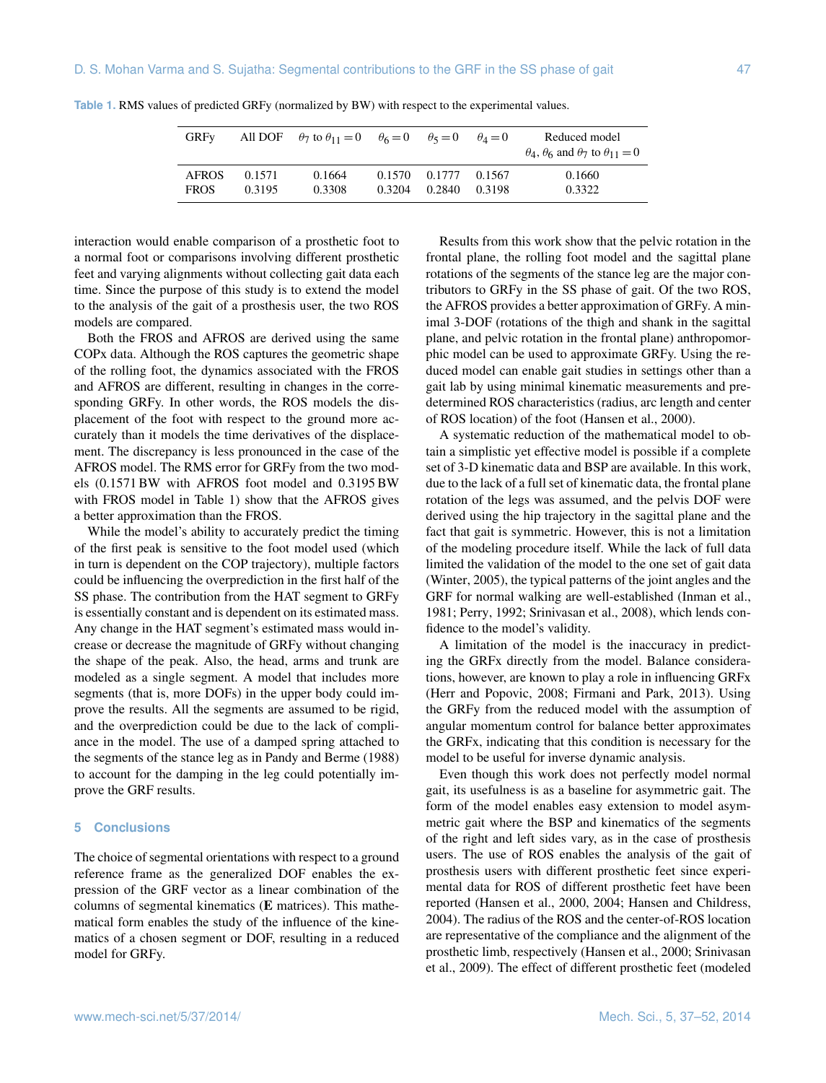| <b>GRFv</b>                 |                  | All DOF $\theta_7$ to $\theta_{11} = 0$ $\theta_6 = 0$ $\theta_5 = 0$ |        |                                | $\theta_4=0$ | Reduced model<br>$\theta_4$ , $\theta_6$ and $\theta_7$ to $\theta_{11} = 0$ |
|-----------------------------|------------------|-----------------------------------------------------------------------|--------|--------------------------------|--------------|------------------------------------------------------------------------------|
| <b>AFROS</b><br><b>FROS</b> | 0.1571<br>0.3195 | 0.1664<br>0.3308                                                      | 0.3204 | 0.1570 0.1777 0.1567<br>0.2840 | 0.3198       | 0.1660<br>0.3322                                                             |

**Table 1.** RMS values of predicted GRFy (normalized by BW) with respect to the experimental values.

interaction would enable comparison of a prosthetic foot to a normal foot or comparisons involving different prosthetic feet and varying alignments without collecting gait data each time. Since the purpose of this study is to extend the model to the analysis of the gait of a prosthesis user, the two ROS models are compared.

Both the FROS and AFROS are derived using the same COPx data. Although the ROS captures the geometric shape of the rolling foot, the dynamics associated with the FROS and AFROS are different, resulting in changes in the corresponding GRFy. In other words, the ROS models the displacement of the foot with respect to the ground more accurately than it models the time derivatives of the displacement. The discrepancy is less pronounced in the case of the AFROS model. The RMS error for GRFy from the two models (0.1571 BW with AFROS foot model and 0.3195 BW with FROS model in Table 1) show that the AFROS gives a better approximation than the FROS.

While the model's ability to accurately predict the timing of the first peak is sensitive to the foot model used (which in turn is dependent on the COP trajectory), multiple factors could be influencing the overprediction in the first half of the SS phase. The contribution from the HAT segment to GRFy is essentially constant and is dependent on its estimated mass. Any change in the HAT segment's estimated mass would increase or decrease the magnitude of GRFy without changing the shape of the peak. Also, the head, arms and trunk are modeled as a single segment. A model that includes more segments (that is, more DOFs) in the upper body could improve the results. All the segments are assumed to be rigid, and the overprediction could be due to the lack of compliance in the model. The use of a damped spring attached to the segments of the stance leg as in Pandy and Berme (1988) to account for the damping in the leg could potentially improve the GRF results.

## **5 Conclusions**

The choice of segmental orientations with respect to a ground reference frame as the generalized DOF enables the expression of the GRF vector as a linear combination of the columns of segmental kinematics (**E** matrices). This mathematical form enables the study of the influence of the kinematics of a chosen segment or DOF, resulting in a reduced model for GRFy.

Results from this work show that the pelvic rotation in the frontal plane, the rolling foot model and the sagittal plane rotations of the segments of the stance leg are the major contributors to GRFy in the SS phase of gait. Of the two ROS, the AFROS provides a better approximation of GRFy. A minimal 3-DOF (rotations of the thigh and shank in the sagittal plane, and pelvic rotation in the frontal plane) anthropomorphic model can be used to approximate GRFy. Using the reduced model can enable gait studies in settings other than a gait lab by using minimal kinematic measurements and predetermined ROS characteristics (radius, arc length and center of ROS location) of the foot (Hansen et al., 2000).

A systematic reduction of the mathematical model to obtain a simplistic yet effective model is possible if a complete set of 3-D kinematic data and BSP are available. In this work, due to the lack of a full set of kinematic data, the frontal plane rotation of the legs was assumed, and the pelvis DOF were derived using the hip trajectory in the sagittal plane and the fact that gait is symmetric. However, this is not a limitation of the modeling procedure itself. While the lack of full data limited the validation of the model to the one set of gait data (Winter, 2005), the typical patterns of the joint angles and the GRF for normal walking are well-established (Inman et al., 1981; Perry, 1992; Srinivasan et al., 2008), which lends confidence to the model's validity.

A limitation of the model is the inaccuracy in predicting the GRFx directly from the model. Balance considerations, however, are known to play a role in influencing GRFx (Herr and Popovic, 2008; Firmani and Park, 2013). Using the GRFy from the reduced model with the assumption of angular momentum control for balance better approximates the GRFx, indicating that this condition is necessary for the model to be useful for inverse dynamic analysis.

Even though this work does not perfectly model normal gait, its usefulness is as a baseline for asymmetric gait. The form of the model enables easy extension to model asymmetric gait where the BSP and kinematics of the segments of the right and left sides vary, as in the case of prosthesis users. The use of ROS enables the analysis of the gait of prosthesis users with different prosthetic feet since experimental data for ROS of different prosthetic feet have been reported (Hansen et al., 2000, 2004; Hansen and Childress, 2004). The radius of the ROS and the center-of-ROS location are representative of the compliance and the alignment of the prosthetic limb, respectively (Hansen et al., 2000; Srinivasan et al., 2009). The effect of different prosthetic feet (modeled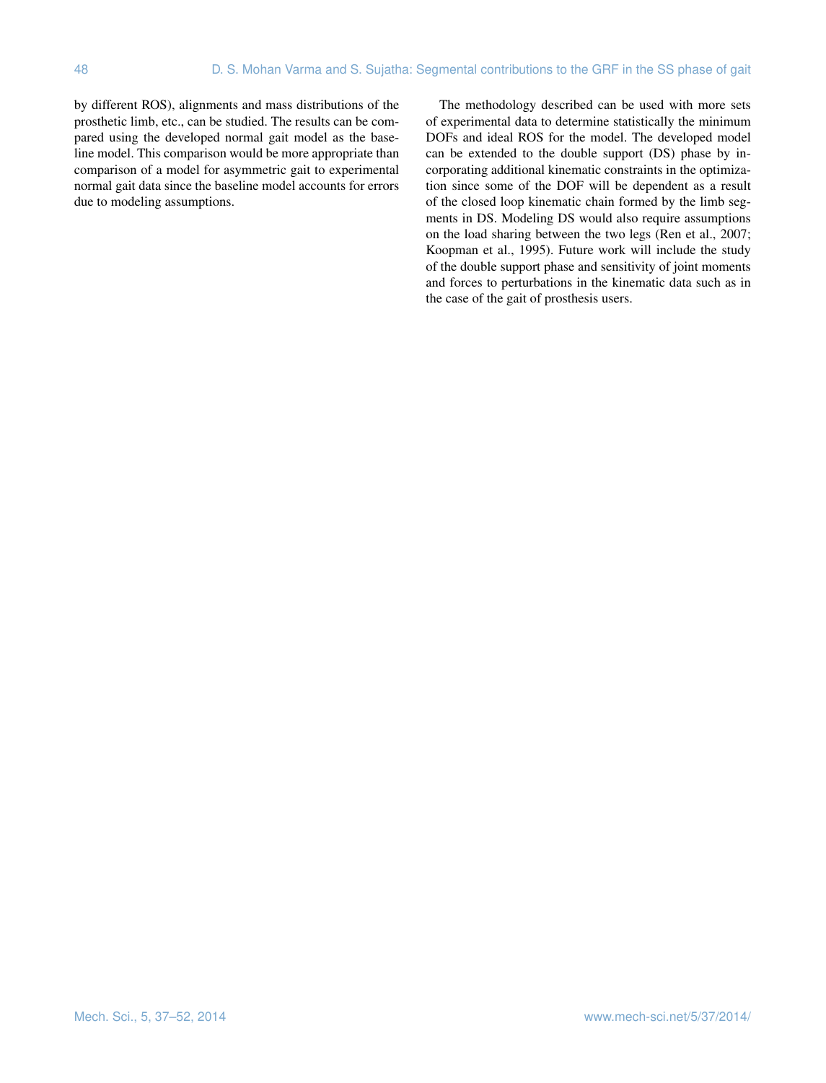by different ROS), alignments and mass distributions of the prosthetic limb, etc., can be studied. The results can be compared using the developed normal gait model as the baseline model. This comparison would be more appropriate than comparison of a model for asymmetric gait to experimental normal gait data since the baseline model accounts for errors due to modeling assumptions.

The methodology described can be used with more sets of experimental data to determine statistically the minimum DOFs and ideal ROS for the model. The developed model can be extended to the double support (DS) phase by incorporating additional kinematic constraints in the optimization since some of the DOF will be dependent as a result of the closed loop kinematic chain formed by the limb segments in DS. Modeling DS would also require assumptions on the load sharing between the two legs (Ren et al., 2007; Koopman et al., 1995). Future work will include the study of the double support phase and sensitivity of joint moments and forces to perturbations in the kinematic data such as in the case of the gait of prosthesis users.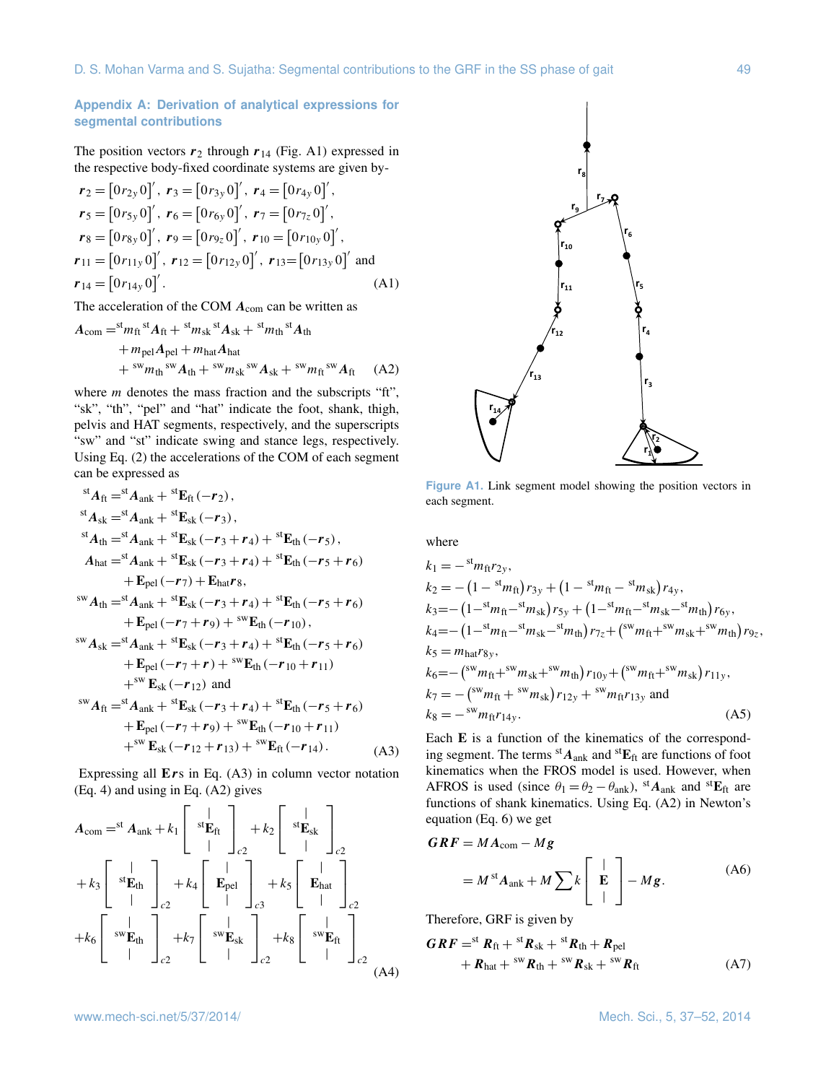$\overline{\phantom{a}}$ 

 $\sim$ 

# **Appendix A: Derivation of analytical expressions for segmental contributions**

The position vectors  $r_2$  through  $r_{14}$  (Fig. A1) expressed in the respective body-fixed coordinate systems are given by- $\overline{a}$ 

 $\sim$ 

 $\overline{\phantom{a}}$ 

 $\mathbf{r}$ 

$$
\begin{aligned}\nr_2 &= \begin{bmatrix} 0r_{2y} & 0 \end{bmatrix}', r_3 = \begin{bmatrix} 0r_{3y} & 0 \end{bmatrix}', r_4 = \begin{bmatrix} 0r_{4y} & 0 \end{bmatrix}', \\
r_5 &= \begin{bmatrix} 0r_{5y} & 0 \end{bmatrix}', r_6 = \begin{bmatrix} 0r_{6y} & 0 \end{bmatrix}', r_7 = \begin{bmatrix} 0r_{7z} & 0 \end{bmatrix}', \\
r_8 &= \begin{bmatrix} 0r_{8y} & 0 \end{bmatrix}', r_9 = \begin{bmatrix} 0r_{9z} & 0 \end{bmatrix}', r_{10} = \begin{bmatrix} 0r_{10y} & 0 \end{bmatrix}', \\
r_{11} &= \begin{bmatrix} 0r_{11y} & 0 \end{bmatrix}', r_{12} = \begin{bmatrix} 0r_{12y} & 0 \end{bmatrix}', r_{13} = \begin{bmatrix} 0r_{13y} & 0 \end{bmatrix}' \text{ and} \\
r_{14} &= \begin{bmatrix} 0r_{14y} & 0 \end{bmatrix}'.\n\end{aligned} \tag{A1}
$$

The acceleration of the COM  $A_{com}$  can be written as

$$
A_{\text{com}} = {}^{\text{str}} m_{\text{ft}} {}^{\text{st}} A_{\text{ft}} + {}^{\text{str}} m_{\text{sk}} {}^{\text{st}} A_{\text{sk}} + {}^{\text{str}} m_{\text{th}} {}^{\text{st}} A_{\text{th}} + m_{\text{pel}} A_{\text{pel}} + m_{\text{hat}} A_{\text{hat}} + {}^{\text{sw}} m_{\text{th}} {}^{\text{sw}} A_{\text{th}} + {}^{\text{sw}} m_{\text{sk}} {}^{\text{sw}} A_{\text{sk}} + {}^{\text{sw}} m_{\text{ft}} {}^{\text{sw}} A_{\text{ft}} \quad (A2)
$$

where  $m$  denotes the mass fraction and the subscripts "ft", "sk", "th", "pel" and "hat" indicate the foot, shank, thigh, pelvis and HAT segments, respectively, and the superscripts "sw" and "st" indicate swing and stance legs, respectively. Using Eq. (2) the accelerations of the COM of each segment can be expressed as

$$
{}^{st}A_{ft} = {}^{st}A_{ank} + {}^{st}E_{ft}(-r_2),
$$
  
\n
$$
{}^{st}A_{sk} = {}^{st}A_{ank} + {}^{st}E_{sk}(-r_3),
$$
  
\n
$$
{}^{st}A_{th} = {}^{st}A_{ank} + {}^{st}E_{sk}(-r_3 + r_4) + {}^{st}E_{th}(-r_5),
$$
  
\n
$$
A_{hat} = {}^{st}A_{ank} + {}^{st}E_{sk}(-r_3 + r_4) + {}^{st}E_{th}(-r_5 + r_6)
$$
  
\n
$$
+ E_{pel}(-r_7) + E_{hat}r_8,
$$
  
\n
$$
{}^{su}A_{th} = {}^{st}A_{ank} + {}^{st}E_{sk}(-r_3 + r_4) + {}^{st}E_{th}(-r_5 + r_6)
$$
  
\n
$$
+ E_{pel}(-r_7 + r_9) + {}^{sw}E_{th}(-r_{10}),
$$
  
\n
$$
{}^{sw}A_{sk} = {}^{st}A_{ank} + {}^{st}E_{sk}(-r_3 + r_4) + {}^{st}E_{th}(-r_5 + r_6)
$$
  
\n
$$
+ E_{pel}(-r_7 + r) + {}^{sw}E_{th}(-r_{10} + r_{11})
$$
  
\n
$$
+ {}^{sw}E_{sk}(-r_{12})
$$
 and  
\n
$$
{}^{sw}A_{ft} = {}^{st}A_{ank} + {}^{st}E_{sk}(-r_3 + r_4) + {}^{st}E_{th}(-r_5 + r_6)
$$
  
\n
$$
+ E_{pel}(-r_7 + r_9) + {}^{sw}E_{th}(-r_{10} + r_{11})
$$
  
\n
$$
+ {}^{sw}E_{sk}(-r_{12} + r_{13}) + {}^{sw}E_{ft}(-r_{14}).
$$
 (A3)

Expressing all **E**rs in Eq. (A3) in column vector notation (Eq. 4) and using in Eq. (A2) gives

$$
A_{\text{com}} = {}^{\text{st}} A_{\text{ank}} + k_1 \begin{bmatrix} | & \cdots & \cdots & \cdots & \cdots & \cdots & \cdots & \cdots & \cdots & \cdots & \cdots & \cdots & \cdots & \cdots & \cdots & \cdots & \cdots & \cdots & \cdots & \cdots & \cdots & \cdots & \cdots & \cdots & \cdots & \cdots & \cdots & \cdots & \cdots & \cdots & \cdots & \cdots & \cdots & \cdots & \cdots & \cdots & \cdots & \cdots & \cdots & \cdots & \cdots & \cdots & \cdots & \cdots & \cdots & \cdots & \cdots & \cdots & \cdots & \cdots & \cdots & \cdots & \cdots & \cdots & \cdots & \cdots & \cdots & \cdots & \cdots & \cdots & \cdots & \cdots & \cdots & \cdots & \cdots & \cdots & \cdots & \cdots & \cdots & \cdots & \cdots & \cdots & \cdots & \cdots & \cdots & \cdots & \cdots & \cdots & \cdots & \cdots & \cdots & \cdots & \cdots & \cdots & \cdots & \cdots & \cdots & \cdots & \cdots & \cdots & \cdots & \cdots & \cdots & \cdots & \cdots & \cdots & \cdots & \cdots & \cdots & \cdots & \cdots & \cdots & \cdots & \cdots & \cdots & \cdots & \cdots & \cdots & \cdots & \cdots & \cdots & \cdots & \cdots & \cdots & \cdots & \cdots & \cdots & \cdots & \cdots & \cdots & \cdots & \cdots
$$



**Figure A1.** Link segment model showing the position vectors in each segment.

where

$$
k_1 = -{}^{st}m_{ft}r_{2y},
$$
  
\n
$$
k_2 = -(1 - {}^{st}m_{ft})r_{3y} + (1 - {}^{st}m_{ft} - {}^{st}m_{sk})r_{4y},
$$
  
\n
$$
k_3 = -(1 - {}^{st}m_{ft} - {}^{st}m_{sk})r_{5y} + (1 - {}^{st}m_{ft} - {}^{st}m_{sk} - {}^{st}m_{th})r_{6y},
$$
  
\n
$$
k_4 = -(1 - {}^{st}m_{ft} - {}^{st}m_{sk} - {}^{st}m_{th})r_{7z} + ({}^{sw}m_{ft} + {}^{sw}m_{sk} + {}^{sw}m_{th})r_{9z},
$$
  
\n
$$
k_5 = m_{hat}r_{8y},
$$
  
\n
$$
k_6 = -({}^{sw}m_{ft} + {}^{sw}m_{sk} + {}^{sw}m_{th})r_{10y} + ({}^{sw}m_{ft} + {}^{sw}m_{sk})r_{11y},
$$
  
\n
$$
k_7 = -({}^{sw}m_{ft} + {}^{sw}m_{sk})r_{12y} + {}^{sw}m_{ft}r_{13y} \text{ and}
$$
  
\n
$$
k_8 = -{}^{sw}m_{ft}r_{14y}.
$$
  
\n(A5)

Each **E** is a function of the kinematics of the corresponding segment. The terms  ${}^{st}A_{ank}$  and  ${}^{st}E_{ft}$  are functions of foot kinematics when the FROS model is used. However, when AFROS is used (since  $\theta_1 = \theta_2 - \theta_{ank}$ ), <sup>st</sup> $A_{ank}$  and <sup>st</sup> $E_{ft}$  are functions of shank kinematics. Using Eq. (A2) in Newton's equation (Eq. 6) we get

$$
GRF = MA_{com} - Mg
$$
  
=  $M^{st}A_{ank} + M\sum k \begin{bmatrix} \vert & \vert \\ E & \vert \end{bmatrix} - Mg.$  (A6)

Therefore, GRF is given by

$$
GRF = {}^{st}R_{ft} + {}^{st}R_{sk} + {}^{st}R_{th} + R_{pel}
$$
  
+ 
$$
R_{hat} + {}^{sw}R_{th} + {}^{sw}R_{sk} + {}^{sw}R_{ft}
$$
 (A7)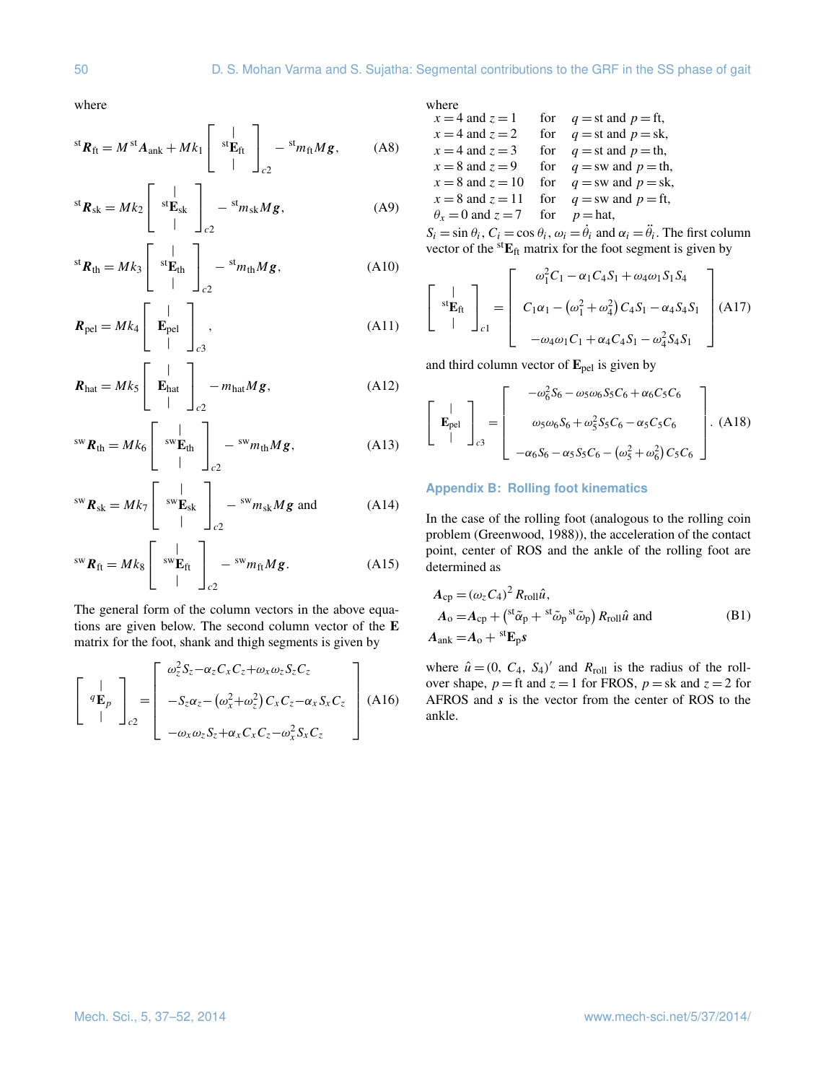where

$$
^{st}\boldsymbol{R}_{ft} = M^{st}\boldsymbol{A}_{ank} + Mk_1 \left[ \begin{array}{c} | \\ {}^{st}\boldsymbol{E}_{ft} \\ | \end{array} \right]_{c2} - {}^{st}m_{ft}M\boldsymbol{g}, \qquad (A8)
$$

$$
^{st}\boldsymbol{R}_{sk} = Mk_2 \left[ \begin{array}{c} | \\ {}^{st}\mathbf{E}_{sk} \\ | \end{array} \right]_{c2} - {}^{st}m_{sk}M\boldsymbol{g}, \tag{A9}
$$

$$
^{st}\boldsymbol{R}_{th} = Mk_3 \left[ \begin{array}{c} | \\ {}^{st}\mathbf{E}_{th} \\ | \end{array} \right]_{c2} - {}^{st}m_{th}M\boldsymbol{g}, \tag{A10}
$$

$$
\boldsymbol{R}_{\text{pel}} = Mk_4 \begin{bmatrix} | \\ \mathbf{E}_{\text{pel}} \\ | \end{bmatrix}_{c3}, \tag{A11}
$$

$$
\boldsymbol{R}_{\text{hat}} = Mk_5 \begin{bmatrix} | \\ \mathbf{E}_{\text{hat}} \\ | \end{bmatrix}_{c2} - m_{\text{hat}} M \boldsymbol{g}, \tag{A12}
$$

 $\Gamma$ 

$$
^{sw}\boldsymbol{R}_{th} = Mk_6 \left[ \begin{array}{c} | \\ {^{sw}\boldsymbol{E}_{th}} \\ | \end{array} \right]_{c2} - {^{sw}m_{th}Mg}, \tag{A13}
$$

$$
^{sw}\boldsymbol{R}_{sk} = Mk_7 \left[ \begin{array}{c} | \\ {sw}_{ksk} \\ | \end{array} \right]_{c2} - {sw}_{m_{sk}} Mg \text{ and} \qquad (A14)
$$

$$
^{sw}\boldsymbol{R}_{ft} = Mk_8 \left[ \begin{array}{c} | \\ {^{sw}\boldsymbol{E}_{ft}} \\ | \end{array} \right]_{c2} - {^{sw}}m_{ft}M\boldsymbol{g}. \tag{A15}
$$

The general form of the column vectors in the above equations are given below. The second column vector of the **E** matrix for the foot, shank and thigh segments is given by

$$
\begin{bmatrix}\n\mathbf{q} \\
\mathbf{q} \\
\mathbf{p}\n\end{bmatrix}_{c2} = \begin{bmatrix}\n\omega_z^2 S_z - \alpha_z C_x C_z + \omega_x \omega_z S_z C_z \\
-S_z \alpha_z - (\omega_x^2 + \omega_z^2) C_x C_z - \alpha_x S_x C_z \\
-\omega_x \omega_z S_z + \alpha_x C_x C_z - \omega_x^2 S_x C_z\n\end{bmatrix}
$$
\n(A16)

where

$$
x = 4 \text{ and } z = 1 \qquad \text{for} \qquad q = \text{st and } p = \text{ft},
$$
  
\n
$$
x = 4 \text{ and } z = 2 \qquad \text{for} \qquad q = \text{st and } p = \text{sk},
$$
  
\n
$$
x = 4 \text{ and } z = 3 \qquad \text{for} \qquad q = \text{st and } p = \text{th},
$$
  
\n
$$
x = 8 \text{ and } z = 9 \qquad \text{for} \qquad q = \text{sw and } p = \text{th},
$$
  
\n
$$
x = 8 \text{ and } z = 10 \qquad \text{for} \qquad q = \text{sw and } p = \text{fk},
$$
  
\n
$$
x = 8 \text{ and } z = 11 \qquad \text{for} \qquad q = \text{sw and } p = \text{ft},
$$
  
\n
$$
\theta_x = 0 \text{ and } z = 7 \qquad \text{for} \qquad p = \text{hat},
$$

 $S_i = \sin \theta_i$ ,  $C_i = \cos \theta_i$ ,  $\omega_i = \dot{\theta}_i$  and  $\alpha_i = \ddot{\theta}_i$ . The first column vector of the st**E**ft matrix for the foot segment is given by

$$
\begin{bmatrix}\n\vdots \\
\vdots \\
\vdots \\
\vdots\n\end{bmatrix}_{c1} = \begin{bmatrix}\n\omega_1^2 C_1 - \alpha_1 C_4 S_1 + \omega_4 \omega_1 S_1 S_4 \\
C_1 \alpha_1 - (\omega_1^2 + \omega_4^2) C_4 S_1 - \alpha_4 S_4 S_1 \\
-\omega_4 \omega_1 C_1 + \alpha_4 C_4 S_1 - \omega_4^2 S_4 S_1\n\end{bmatrix}
$$
(A17)

and third column vector of **E**pel is given by

$$
\begin{bmatrix} | \\ \mathbf{E}_{\text{pel}} \\ | \end{bmatrix}_{c3} = \begin{bmatrix} -\omega_6^2 S_6 - \omega_5 \omega_6 S_5 C_6 + \alpha_6 C_5 C_6 \\ \omega_5 \omega_6 S_6 + \omega_5^2 S_5 C_6 - \alpha_5 C_5 C_6 \\ -\alpha_6 S_6 - \alpha_5 S_5 C_6 - (\omega_5^2 + \omega_6^2) C_5 C_6 \end{bmatrix}.
$$
 (A18)

## **Appendix B: Rolling foot kinematics**

In the case of the rolling foot (analogous to the rolling coin problem (Greenwood, 1988)), the acceleration of the contact point, center of ROS and the ankle of the rolling foot are determined as

$$
A_{cp} = (\omega_z C_4)^2 R_{roll} \hat{u},
$$
  
\n
$$
A_o = A_{cp} + {^{st}\tilde{\alpha}_p + {^{st}\tilde{\omega}_p} {^{st}\tilde{\omega}_p}} R_{roll} \hat{u} \text{ and}
$$
  
\n
$$
A_{ank} = A_o + {^{st}\mathbf{E}_p} \mathbf{s}
$$
 (B1)

where  $\hat{u} = (0, C_4, S_4)'$  and  $R_{roll}$  is the radius of the rollover shape,  $p =$  ft and  $z = 1$  for FROS,  $p =$  sk and  $z = 2$  for AFROS and s is the vector from the center of ROS to the ankle.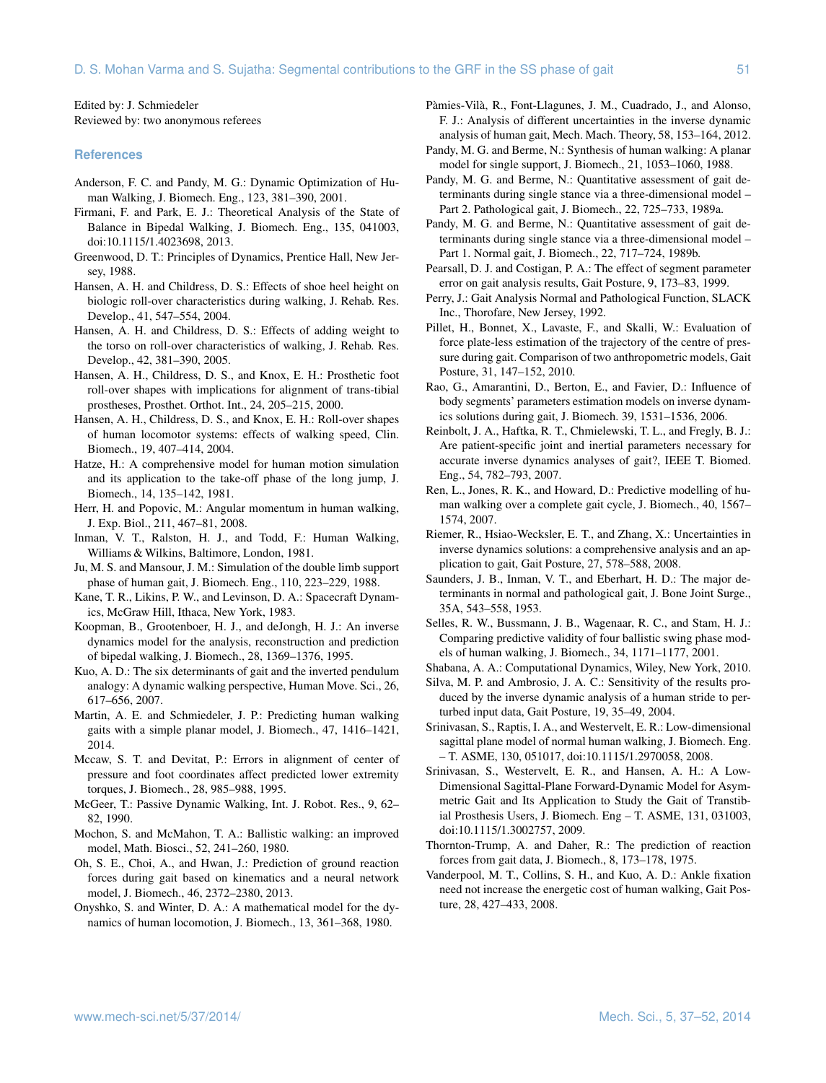Edited by: J. Schmiedeler Reviewed by: two anonymous referees

#### **References**

- Anderson, F. C. and Pandy, M. G.: Dynamic Optimization of Human Walking, J. Biomech. Eng., 123, 381–390, 2001.
- Firmani, F. and Park, E. J.: Theoretical Analysis of the State of Balance in Bipedal Walking, J. Biomech. Eng., 135, 041003, doi:10.1115/1.4023698, 2013.
- Greenwood, D. T.: Principles of Dynamics, Prentice Hall, New Jersey, 1988.
- Hansen, A. H. and Childress, D. S.: Effects of shoe heel height on biologic roll-over characteristics during walking, J. Rehab. Res. Develop., 41, 547–554, 2004.
- Hansen, A. H. and Childress, D. S.: Effects of adding weight to the torso on roll-over characteristics of walking, J. Rehab. Res. Develop., 42, 381–390, 2005.
- Hansen, A. H., Childress, D. S., and Knox, E. H.: Prosthetic foot roll-over shapes with implications for alignment of trans-tibial prostheses, Prosthet. Orthot. Int., 24, 205–215, 2000.
- Hansen, A. H., Childress, D. S., and Knox, E. H.: Roll-over shapes of human locomotor systems: effects of walking speed, Clin. Biomech., 19, 407–414, 2004.
- Hatze, H.: A comprehensive model for human motion simulation and its application to the take-off phase of the long jump, J. Biomech., 14, 135–142, 1981.
- Herr, H. and Popovic, M.: Angular momentum in human walking, J. Exp. Biol., 211, 467–81, 2008.
- Inman, V. T., Ralston, H. J., and Todd, F.: Human Walking, Williams & Wilkins, Baltimore, London, 1981.
- Ju, M. S. and Mansour, J. M.: Simulation of the double limb support phase of human gait, J. Biomech. Eng., 110, 223–229, 1988.
- Kane, T. R., Likins, P. W., and Levinson, D. A.: Spacecraft Dynamics, McGraw Hill, Ithaca, New York, 1983.
- Koopman, B., Grootenboer, H. J., and deJongh, H. J.: An inverse dynamics model for the analysis, reconstruction and prediction of bipedal walking, J. Biomech., 28, 1369–1376, 1995.
- Kuo, A. D.: The six determinants of gait and the inverted pendulum analogy: A dynamic walking perspective, Human Move. Sci., 26, 617–656, 2007.
- Martin, A. E. and Schmiedeler, J. P.: Predicting human walking gaits with a simple planar model, J. Biomech., 47, 1416–1421, 2014.
- Mccaw, S. T. and Devitat, P.: Errors in alignment of center of pressure and foot coordinates affect predicted lower extremity torques, J. Biomech., 28, 985–988, 1995.
- McGeer, T.: Passive Dynamic Walking, Int. J. Robot. Res., 9, 62– 82, 1990.
- Mochon, S. and McMahon, T. A.: Ballistic walking: an improved model, Math. Biosci., 52, 241–260, 1980.
- Oh, S. E., Choi, A., and Hwan, J.: Prediction of ground reaction forces during gait based on kinematics and a neural network model, J. Biomech., 46, 2372–2380, 2013.
- Onyshko, S. and Winter, D. A.: A mathematical model for the dynamics of human locomotion, J. Biomech., 13, 361–368, 1980.
- Pàmies-Vilà, R., Font-Llagunes, J. M., Cuadrado, J., and Alonso, F. J.: Analysis of different uncertainties in the inverse dynamic analysis of human gait, Mech. Mach. Theory, 58, 153–164, 2012.
- Pandy, M. G. and Berme, N.: Synthesis of human walking: A planar model for single support, J. Biomech., 21, 1053–1060, 1988.
- Pandy, M. G. and Berme, N.: Quantitative assessment of gait determinants during single stance via a three-dimensional model – Part 2. Pathological gait, J. Biomech., 22, 725–733, 1989a.
- Pandy, M. G. and Berme, N.: Quantitative assessment of gait determinants during single stance via a three-dimensional model – Part 1. Normal gait, J. Biomech., 22, 717–724, 1989b.
- Pearsall, D. J. and Costigan, P. A.: The effect of segment parameter error on gait analysis results, Gait Posture, 9, 173–83, 1999.
- Perry, J.: Gait Analysis Normal and Pathological Function, SLACK Inc., Thorofare, New Jersey, 1992.
- Pillet, H., Bonnet, X., Lavaste, F., and Skalli, W.: Evaluation of force plate-less estimation of the trajectory of the centre of pressure during gait. Comparison of two anthropometric models, Gait Posture, 31, 147–152, 2010.
- Rao, G., Amarantini, D., Berton, E., and Favier, D.: Influence of body segments' parameters estimation models on inverse dynamics solutions during gait, J. Biomech. 39, 1531–1536, 2006.
- Reinbolt, J. A., Haftka, R. T., Chmielewski, T. L., and Fregly, B. J.: Are patient-specific joint and inertial parameters necessary for accurate inverse dynamics analyses of gait?, IEEE T. Biomed. Eng., 54, 782–793, 2007.
- Ren, L., Jones, R. K., and Howard, D.: Predictive modelling of human walking over a complete gait cycle, J. Biomech., 40, 1567– 1574, 2007.
- Riemer, R., Hsiao-Wecksler, E. T., and Zhang, X.: Uncertainties in inverse dynamics solutions: a comprehensive analysis and an application to gait, Gait Posture, 27, 578–588, 2008.
- Saunders, J. B., Inman, V. T., and Eberhart, H. D.: The major determinants in normal and pathological gait, J. Bone Joint Surge., 35A, 543–558, 1953.
- Selles, R. W., Bussmann, J. B., Wagenaar, R. C., and Stam, H. J.: Comparing predictive validity of four ballistic swing phase models of human walking, J. Biomech., 34, 1171–1177, 2001.
- Shabana, A. A.: Computational Dynamics, Wiley, New York, 2010.
- Silva, M. P. and Ambrosio, J. A. C.: Sensitivity of the results produced by the inverse dynamic analysis of a human stride to perturbed input data, Gait Posture, 19, 35–49, 2004.
- Srinivasan, S., Raptis, I. A., and Westervelt, E. R.: Low-dimensional sagittal plane model of normal human walking, J. Biomech. Eng. – T. ASME, 130, 051017, doi:10.1115/1.2970058, 2008.
- Srinivasan, S., Westervelt, E. R., and Hansen, A. H.: A Low-Dimensional Sagittal-Plane Forward-Dynamic Model for Asymmetric Gait and Its Application to Study the Gait of Transtibial Prosthesis Users, J. Biomech. Eng – T. ASME, 131, 031003, doi:10.1115/1.3002757, 2009.
- Thornton-Trump, A. and Daher, R.: The prediction of reaction forces from gait data, J. Biomech., 8, 173–178, 1975.
- Vanderpool, M. T., Collins, S. H., and Kuo, A. D.: Ankle fixation need not increase the energetic cost of human walking, Gait Posture, 28, 427–433, 2008.